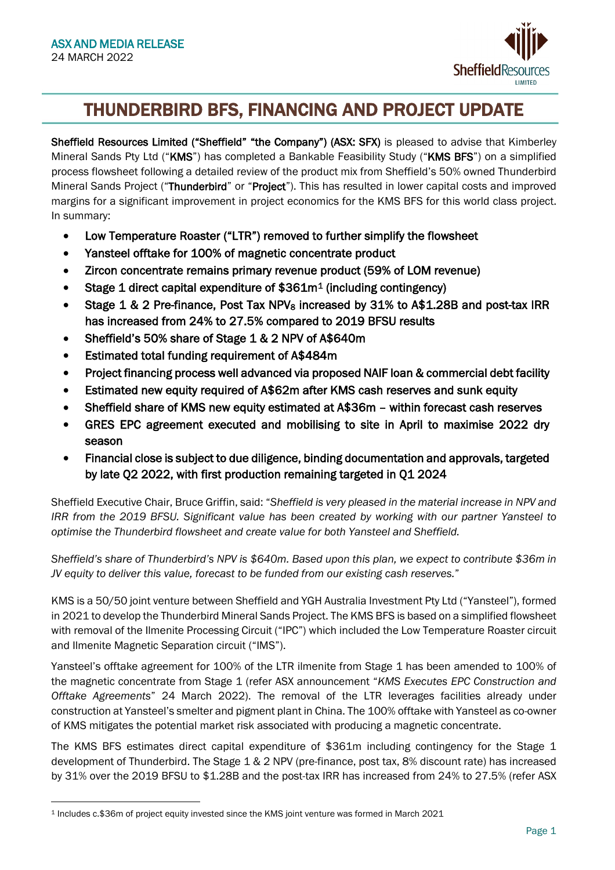

# j THUNDERBIRD BFS, FINANCING AND PROJECT UPDATE

Sheffield Resources Limited ("Sheffield" "the Company") (ASX: SFX) is pleased to advise that Kimberley Mineral Sands Pty Ltd ("KMS") has completed a Bankable Feasibility Study ("KMS BFS") on a simplified process flowsheet following a detailed review of the product mix from Sheffield's 50% owned Thunderbird Mineral Sands Project ("Thunderbird" or "Project"). This has resulted in lower capital costs and improved margins for a significant improvement in project economics for the KMS BFS for this world class project. In summary:

- Low Temperature Roaster ("LTR") removed to further simplify the flowsheet
- Yansteel offtake for 100% of magnetic concentrate product
- Zircon concentrate remains primary revenue product (59% of LOM revenue)
- Stage 1 direct capital expenditure of \$361m[1](#page-0-0) (including contingency)
- Stage 1 & 2 Pre-finance, Post Tax NPV<sub>8</sub> increased by 31% to A\$1.28B and post-tax IRR has increased from 24% to 27.5% compared to 2019 BFSU results
- Sheffield's 50% share of Stage 1 & 2 NPV of A\$640m
- Estimated total funding requirement of A\$484m
- Project financing process well advanced via proposed NAIF loan & commercial debt facility
- Estimated new equity required of A\$62m after KMS cash reserves and sunk equity
- Sheffield share of KMS new equity estimated at A\$36m within forecast cash reserves
- GRES EPC agreement executed and mobilising to site in April to maximise 2022 dry season
- Financial close is subject to due diligence, binding documentation and approvals, targeted by late Q2 2022, with first production remaining targeted in Q1 2024

Sheffield Executive Chair, Bruce Griffin, said: "*Sheffield is very pleased in the material increase in NPV and IRR from the 2019 BFSU. Significant value has been created by working with our partner Yansteel to optimise the Thunderbird flowsheet and create value for both Yansteel and Sheffield.* 

*Sheffield's share of Thunderbird's NPV is \$640m. Based upon this plan, we expect to contribute \$36m in JV equity to deliver this value, forecast to be funded from our existing cash reserves.*"

KMS is a 50/50 joint venture between Sheffield and YGH Australia Investment Pty Ltd ("Yansteel"), formed in 2021 to develop the Thunderbird Mineral Sands Project. The KMS BFS is based on a simplified flowsheet with removal of the Ilmenite Processing Circuit ("IPC") which included the Low Temperature Roaster circuit and Ilmenite Magnetic Separation circuit ("IMS").

Yansteel's offtake agreement for 100% of the LTR ilmenite from Stage 1 has been amended to 100% of the magnetic concentrate from Stage 1 (refer ASX announcement "*KMS Executes EPC Construction and Offtake Agreements*" 24 March 2022). The removal of the LTR leverages facilities already under construction at Yansteel's smelter and pigment plant in China. The 100% offtake with Yansteel as co-owner of KMS mitigates the potential market risk associated with producing a magnetic concentrate.

The KMS BFS estimates direct capital expenditure of \$361m including contingency for the Stage 1 development of Thunderbird. The Stage 1 & 2 NPV (pre-finance, post tax, 8% discount rate) has increased by 31% over the 2019 BFSU to \$1.28B and the post-tax IRR has increased from 24% to 27.5% (refer ASX

<span id="page-0-0"></span><sup>1</sup> Includes c.\$36m of project equity invested since the KMS joint venture was formed in March 2021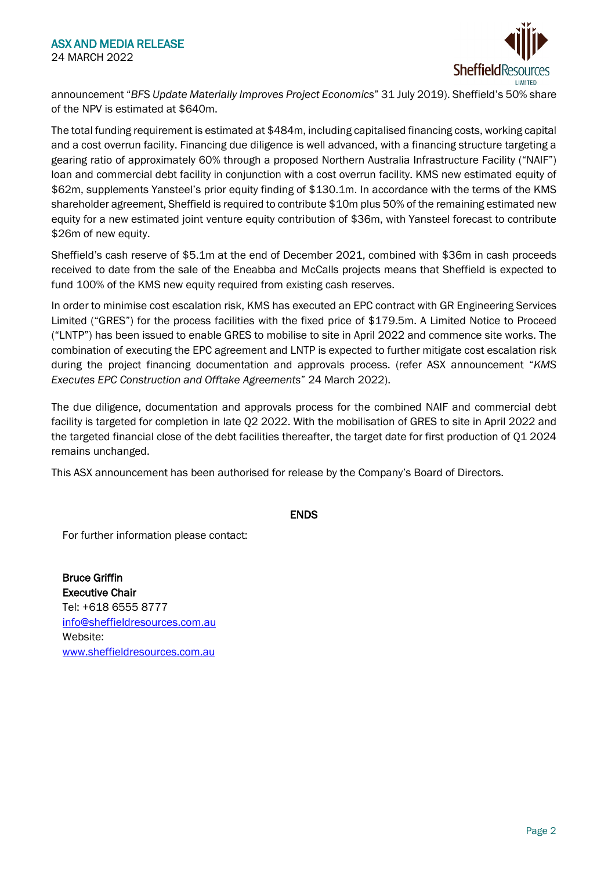

announcement "*BFS Update Materially Improves Project Economics*" 31 July 2019). Sheffield's 50% share of the NPV is estimated at \$640m.

The total funding requirement is estimated at \$484m, including capitalised financing costs, working capital and a cost overrun facility. Financing due diligence is well advanced, with a financing structure targeting a gearing ratio of approximately 60% through a proposed Northern Australia Infrastructure Facility ("NAIF") loan and commercial debt facility in conjunction with a cost overrun facility. KMS new estimated equity of \$62m, supplements Yansteel's prior equity finding of \$130.1m. In accordance with the terms of the KMS shareholder agreement, Sheffield is required to contribute \$10m plus 50% of the remaining estimated new equity for a new estimated joint venture equity contribution of \$36m, with Yansteel forecast to contribute \$26m of new equity.

Sheffield's cash reserve of \$5.1m at the end of December 2021, combined with \$36m in cash proceeds received to date from the sale of the Eneabba and McCalls projects means that Sheffield is expected to fund 100% of the KMS new equity required from existing cash reserves.

In order to minimise cost escalation risk, KMS has executed an EPC contract with GR Engineering Services Limited ("GRES") for the process facilities with the fixed price of \$179.5m. A Limited Notice to Proceed ("LNTP") has been issued to enable GRES to mobilise to site in April 2022 and commence site works. The combination of executing the EPC agreement and LNTP is expected to further mitigate cost escalation risk during the project financing documentation and approvals process. (refer ASX announcement "*KMS Executes EPC Construction and Offtake Agreements*" 24 March 2022).

The due diligence, documentation and approvals process for the combined NAIF and commercial debt facility is targeted for completion in late Q2 2022. With the mobilisation of GRES to site in April 2022 and the targeted financial close of the debt facilities thereafter, the target date for first production of Q1 2024 remains unchanged.

This ASX announcement has been authorised for release by the Company's Board of Directors.

ENDS

For further information please contact:

Bruce Griffin Executive Chair Tel: +618 6555 8777 [info@sheffieldresources.com.au](mailto:info@sheffieldresources.com.au) Website: [www.sheffieldresources.com.au](http://www.sheffieldresources.com.au/)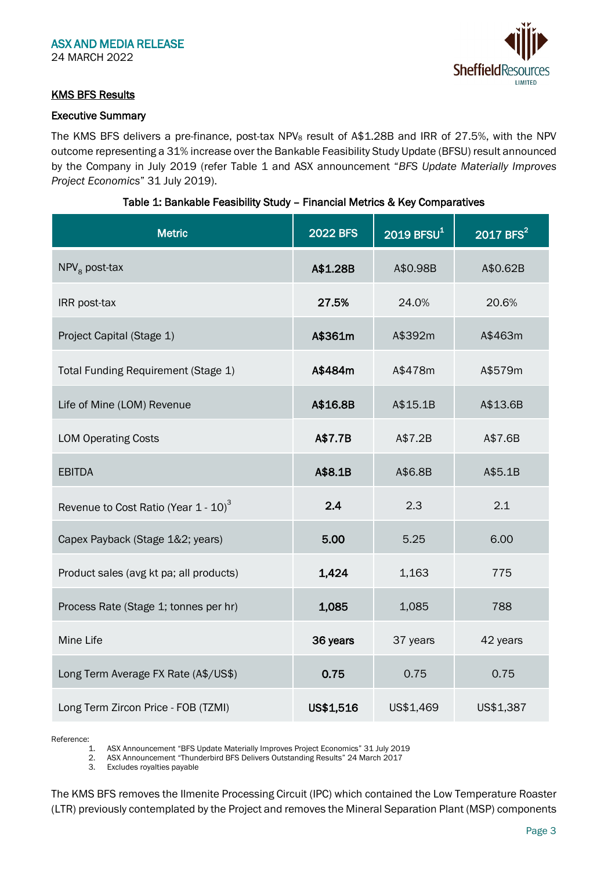

# KMS BFS Results

## Executive Summary

The KMS BFS delivers a pre-finance, post-tax NPV<sub>8</sub> result of A\$1.28B and IRR of 27.5%, with the NPV outcome representing a 31% increase over the Bankable Feasibility Study Update (BFSU) result announced by the Company in July 2019 (refer Table 1 and ASX announcement "*BFS Update Materially Improves Project Economics*" 31 July 2019).

| <b>Metric</b>                                    | <b>2022 BFS</b> | $2019$ BFSU <sup>1</sup> | 2017 BFS <sup>2</sup> |  |
|--------------------------------------------------|-----------------|--------------------------|-----------------------|--|
| $NPV8$ post-tax                                  | A\$1.28B        | A\$0.98B                 | A\$0.62B              |  |
| IRR post-tax                                     | 27.5%           | 24.0%                    | 20.6%                 |  |
| Project Capital (Stage 1)                        | A\$361m         | A\$392m                  | A\$463m               |  |
| Total Funding Requirement (Stage 1)              | A\$484m         | A\$478m                  | A\$579m               |  |
| Life of Mine (LOM) Revenue                       | A\$16.8B        | A\$15.1B                 | A\$13.6B              |  |
| <b>LOM Operating Costs</b>                       | A\$7.7B         | A\$7.2B                  | A\$7.6B               |  |
| <b>EBITDA</b>                                    | A\$8.1B         | A\$6.8B                  | A\$5.1B               |  |
| Revenue to Cost Ratio (Year 1 - 10) <sup>3</sup> | 2.4             | 2.3                      | 2.1                   |  |
| Capex Payback (Stage 1&2; years)                 | 5.00            | 5.25                     | 6.00                  |  |
| Product sales (avg kt pa; all products)          | 1,424           | 1,163                    | 775                   |  |
| Process Rate (Stage 1; tonnes per hr)            | 1,085           | 1,085                    | 788                   |  |
| Mine Life                                        | 36 years        | 37 years                 | 42 years              |  |
| Long Term Average FX Rate (A\$/US\$)             | 0.75            | 0.75                     | 0.75                  |  |
| Long Term Zircon Price - FOB (TZMI)              | US\$1,516       | US\$1,469                | US\$1,387             |  |

## Table 1: Bankable Feasibility Study – Financial Metrics & Key Comparatives

Reference:

1. ASX Announcement "BFS Update Materially Improves Project Economics" 31 July 2019 2. ASX Announcement "Thunderbird BFS Delivers Outstanding Results" 24 March 2017<br>3. Excludes royalties payable

Excludes royalties payable

The KMS BFS removes the Ilmenite Processing Circuit (IPC) which contained the Low Temperature Roaster (LTR) previously contemplated by the Project and removes the Mineral Separation Plant (MSP) components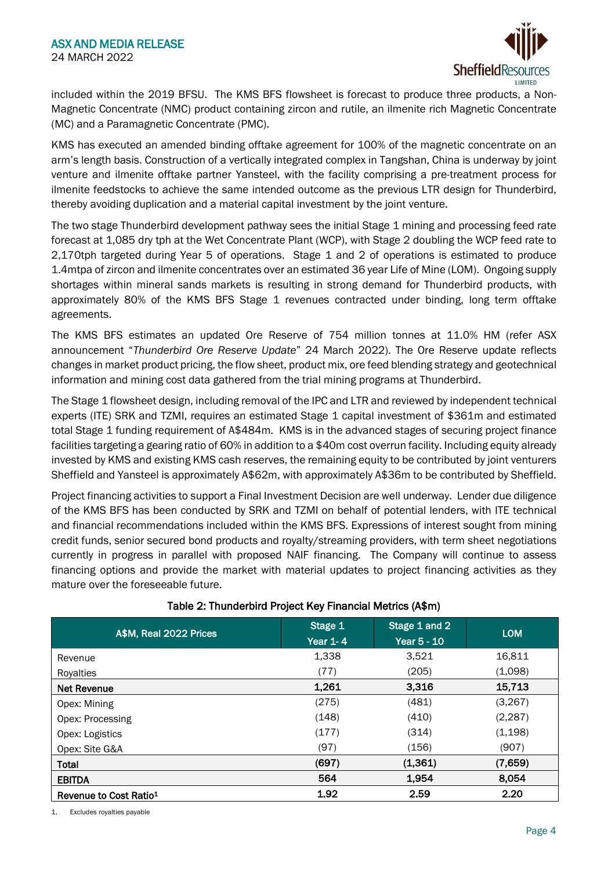

included within the 2019 BFSU. The KMS BFS flowsheet is forecast to produce three products, a Non-Magnetic Concentrate (NMC) product containing zircon and rutile, an ilmenite rich Magnetic Concentrate (MC) and a Paramagnetic Concentrate (PMC).

KMS has executed an amended binding offtake agreement for 100% of the magnetic concentrate on an arm's length basis. Construction of a vertically integrated complex in Tangshan, China is underway by joint venture and ilmenite offtake partner Yansteel, with the facility comprising a pre-treatment process for ilmenite feedstocks to achieve the same intended outcome as the previous LTR design for Thunderbird, thereby avoiding duplication and a material capital investment by the joint venture.

The two stage Thunderbird development pathway sees the initial Stage 1 mining and processing feed rate forecast at 1,085 dry tph at the Wet Concentrate Plant (WCP), with Stage 2 doubling the WCP feed rate to 2,170tph targeted during Year 5 of operations. Stage 1 and 2 of operations is estimated to produce 1.4mtpa of zircon and ilmenite concentrates over an estimated 36 year Life of Mine (LOM). Ongoing supply shortages within mineral sands markets is resulting in strong demand for Thunderbird products, with approximately 80% of the KMS BFS Stage 1 revenues contracted under binding, long term offtake agreements.

The KMS BFS estimates an updated Ore Reserve of 754 million tonnes at 11.0% HM (refer ASX announcement "*Thunderbird Ore Reserve Update*" 24 March 2022). The Ore Reserve update reflects changes in market product pricing, the flow sheet, product mix, ore feed blending strategy and geotechnical information and mining cost data gathered from the trial mining programs at Thunderbird.

The Stage 1 flowsheet design, including removal of the IPC and LTR and reviewed by independent technical experts (ITE) SRK and TZMI, requires an estimated Stage 1 capital investment of \$361m and estimated total Stage 1 funding requirement of A\$484m. KMS is in the advanced stages of securing project finance facilities targeting a gearing ratio of 60% in addition to a \$40m cost overrun facility. Including equity already invested by KMS and existing KMS cash reserves, the remaining equity to be contributed by joint venturers Sheffield and Yansteel is approximately A\$62m, with approximately A\$36m to be contributed by Sheffield.

Project financing activities to support a Final Investment Decision are well underway. Lender due diligence of the KMS BFS has been conducted by SRK and TZMI on behalf of potential lenders, with ITE technical and financial recommendations included within the KMS BFS. Expressions of interest sought from mining credit funds, senior secured bond products and royalty/streaming providers, with term sheet negotiations currently in progress in parallel with proposed NAIF financing. The Company will continue to assess financing options and provide the market with material updates to project financing activities as they mature over the foreseeable future.

| A\$M, Real 2022 Prices             | Stage 1<br><b>Year 1-4</b> | Stage 1 and 2<br><b>Year 5 - 10</b> | <b>LOM</b> |  |
|------------------------------------|----------------------------|-------------------------------------|------------|--|
| Revenue                            | 1,338                      | 3,521                               | 16,811     |  |
| Royalties                          | (77)                       | (205)                               | (1,098)    |  |
| <b>Net Revenue</b>                 | 1,261                      | 3,316                               | 15,713     |  |
| Opex: Mining                       | (275)                      | (481)                               | (3, 267)   |  |
| Opex: Processing                   | (148)                      | (410)                               | (2, 287)   |  |
| Opex: Logistics                    | (177)                      | (314)                               | (1, 198)   |  |
| Opex: Site G&A                     | (97)                       | (156)                               | (907)      |  |
| <b>Total</b>                       | (697)                      | (1, 361)                            | (7,659)    |  |
| <b>EBITDA</b>                      | 564                        | 1,954                               | 8,054      |  |
| Revenue to Cost Ratio <sup>1</sup> | 1.92                       | 2.59                                | 2.20       |  |

# Table 2: Thunderbird Project Key Financial Metrics (A\$m)

1. Excludes royalties payable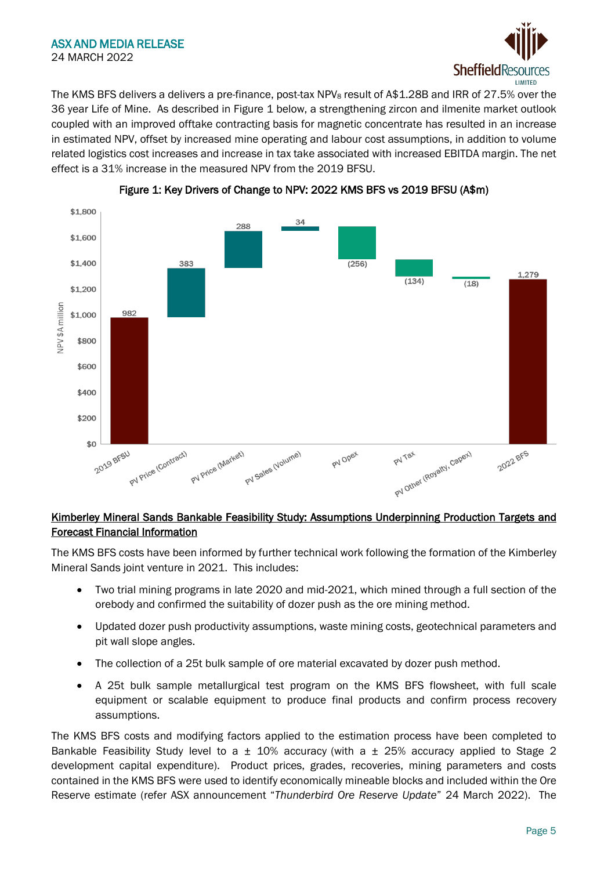

The KMS BFS delivers a delivers a pre-finance, post-tax NPV<sub>8</sub> result of A\$1.28B and IRR of 27.5% over the 36 year Life of Mine. As described in Figure 1 below, a strengthening zircon and ilmenite market outlook coupled with an improved offtake contracting basis for magnetic concentrate has resulted in an increase in estimated NPV, offset by increased mine operating and labour cost assumptions, in addition to volume related logistics cost increases and increase in tax take associated with increased EBITDA margin. The net effect is a 31% increase in the measured NPV from the 2019 BFSU.





# Kimberley Mineral Sands Bankable Feasibility Study: Assumptions Underpinning Production Targets and Forecast Financial Information

The KMS BFS costs have been informed by further technical work following the formation of the Kimberley Mineral Sands joint venture in 2021. This includes:

- Two trial mining programs in late 2020 and mid-2021, which mined through a full section of the orebody and confirmed the suitability of dozer push as the ore mining method.
- Updated dozer push productivity assumptions, waste mining costs, geotechnical parameters and pit wall slope angles.
- The collection of a 25t bulk sample of ore material excavated by dozer push method.
- A 25t bulk sample metallurgical test program on the KMS BFS flowsheet, with full scale equipment or scalable equipment to produce final products and confirm process recovery assumptions.

The KMS BFS costs and modifying factors applied to the estimation process have been completed to Bankable Feasibility Study level to a  $\pm$  10% accuracy (with a  $\pm$  25% accuracy applied to Stage 2 development capital expenditure). Product prices, grades, recoveries, mining parameters and costs contained in the KMS BFS were used to identify economically mineable blocks and included within the Ore Reserve estimate (refer ASX announcement "*Thunderbird Ore Reserve Update*" 24 March 2022). The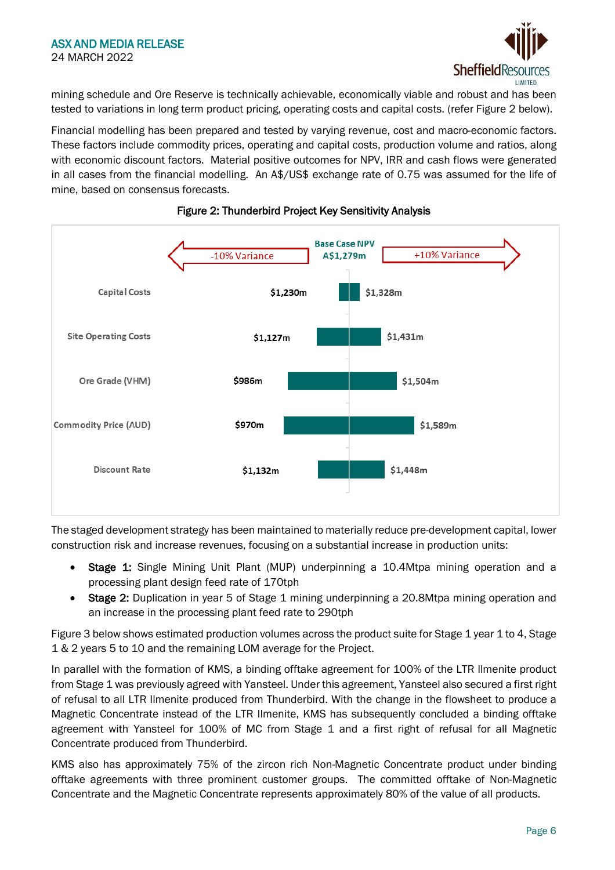

mining schedule and Ore Reserve is technically achievable, economically viable and robust and has been tested to variations in long term product pricing, operating costs and capital costs. (refer Figure 2 below).

Financial modelling has been prepared and tested by varying revenue, cost and macro-economic factors. These factors include commodity prices, operating and capital costs, production volume and ratios, along with economic discount factors. Material positive outcomes for NPV, IRR and cash flows were generated in all cases from the financial modelling. An A\$/US\$ exchange rate of 0.75 was assumed for the life of mine, based on consensus forecasts.



# Figure 2: Thunderbird Project Key Sensitivity Analysis

The staged development strategy has been maintained to materially reduce pre-development capital, lower construction risk and increase revenues, focusing on a substantial increase in production units:

- Stage 1: Single Mining Unit Plant (MUP) underpinning a 10.4Mtpa mining operation and a processing plant design feed rate of 170tph
- Stage 2: Duplication in year 5 of Stage 1 mining underpinning a 20.8Mtpa mining operation and an increase in the processing plant feed rate to 290tph

Figure 3 below shows estimated production volumes across the product suite for Stage 1 year 1 to 4, Stage 1 & 2 years 5 to 10 and the remaining LOM average for the Project.

In parallel with the formation of KMS, a binding offtake agreement for 100% of the LTR Ilmenite product from Stage 1 was previously agreed with Yansteel. Under this agreement, Yansteel also secured a first right of refusal to all LTR Ilmenite produced from Thunderbird. With the change in the flowsheet to produce a Magnetic Concentrate instead of the LTR Ilmenite, KMS has subsequently concluded a binding offtake agreement with Yansteel for 100% of MC from Stage 1 and a first right of refusal for all Magnetic Concentrate produced from Thunderbird.

KMS also has approximately 75% of the zircon rich Non-Magnetic Concentrate product under binding offtake agreements with three prominent customer groups. The committed offtake of Non-Magnetic Concentrate and the Magnetic Concentrate represents approximately 80% of the value of all products.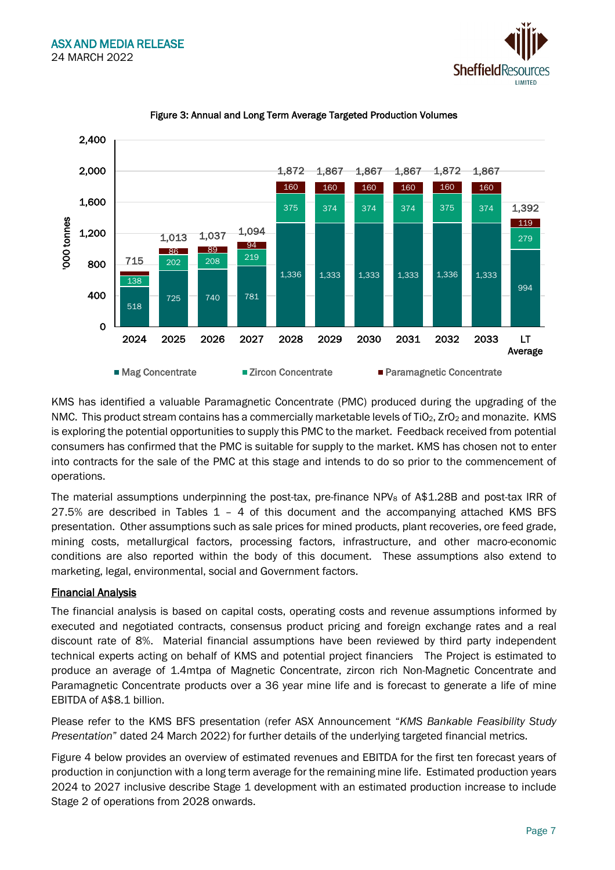



## Figure 3: Annual and Long Term Average Targeted Production Volumes

KMS has identified a valuable Paramagnetic Concentrate (PMC) produced during the upgrading of the NMC. This product stream contains has a commercially marketable levels of TiO<sub>2</sub>, ZrO<sub>2</sub> and monazite. KMS is exploring the potential opportunities to supply this PMC to the market. Feedback received from potential consumers has confirmed that the PMC is suitable for supply to the market. KMS has chosen not to enter into contracts for the sale of the PMC at this stage and intends to do so prior to the commencement of operations.

The material assumptions underpinning the post-tax, pre-finance NPV<sub>8</sub> of A\$1.28B and post-tax IRR of 27.5% are described in Tables 1 – 4 of this document and the accompanying attached KMS BFS presentation. Other assumptions such as sale prices for mined products, plant recoveries, ore feed grade, mining costs, metallurgical factors, processing factors, infrastructure, and other macro-economic conditions are also reported within the body of this document. These assumptions also extend to marketing, legal, environmental, social and Government factors.

# Financial Analysis

The financial analysis is based on capital costs, operating costs and revenue assumptions informed by executed and negotiated contracts, consensus product pricing and foreign exchange rates and a real discount rate of 8%. Material financial assumptions have been reviewed by third party independent technical experts acting on behalf of KMS and potential project financiers The Project is estimated to produce an average of 1.4mtpa of Magnetic Concentrate, zircon rich Non-Magnetic Concentrate and Paramagnetic Concentrate products over a 36 year mine life and is forecast to generate a life of mine EBITDA of A\$8.1 billion.

Please refer to the KMS BFS presentation (refer ASX Announcement "*KMS Bankable Feasibility Study Presentation*" dated 24 March 2022) for further details of the underlying targeted financial metrics.

Figure 4 below provides an overview of estimated revenues and EBITDA for the first ten forecast years of production in conjunction with a long term average for the remaining mine life. Estimated production years 2024 to 2027 inclusive describe Stage 1 development with an estimated production increase to include Stage 2 of operations from 2028 onwards.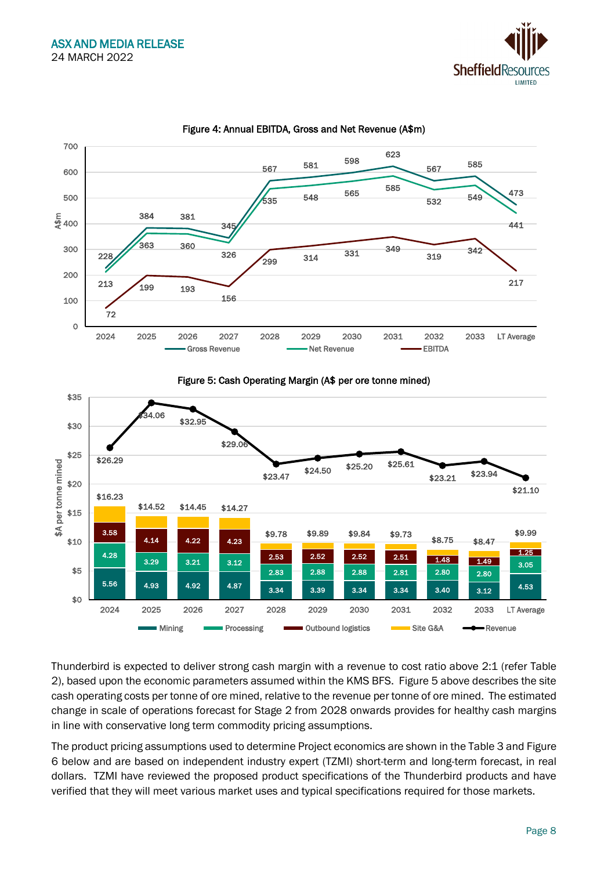



# Figure 4: Annual EBITDA, Gross and Net Revenue (A\$m)





Thunderbird is expected to deliver strong cash margin with a revenue to cost ratio above 2:1 (refer Table 2), based upon the economic parameters assumed within the KMS BFS. Figure 5 above describes the site cash operating costs per tonne of ore mined, relative to the revenue per tonne of ore mined. The estimated change in scale of operations forecast for Stage 2 from 2028 onwards provides for healthy cash margins in line with conservative long term commodity pricing assumptions.

The product pricing assumptions used to determine Project economics are shown in the Table 3 and Figure 6 below and are based on independent industry expert (TZMI) short-term and long-term forecast, in real dollars. TZMI have reviewed the proposed product specifications of the Thunderbird products and have verified that they will meet various market uses and typical specifications required for those markets.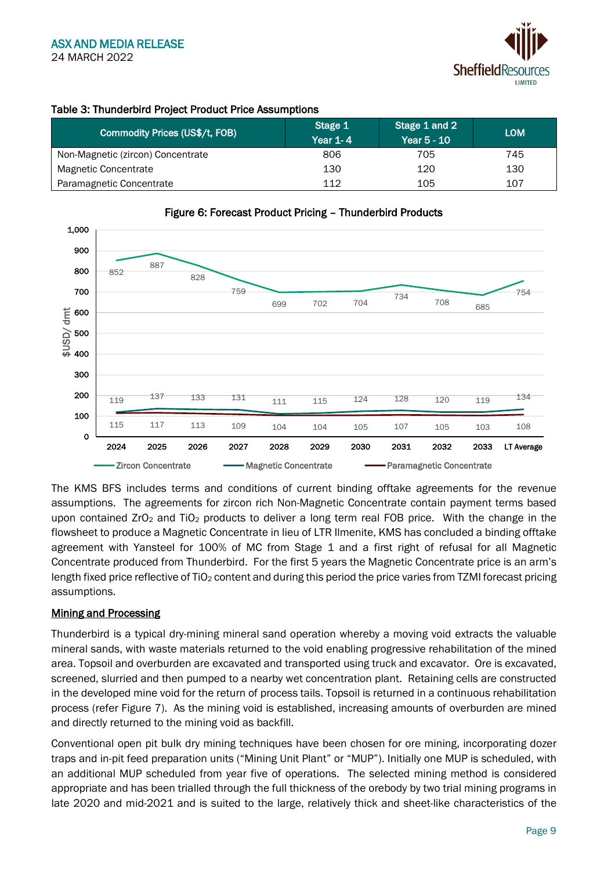

# Table 3: Thunderbird Project Product Price Assumptions

| Commodity Prices (US\$/t, FOB)    | Stage 1<br><b>Year 1-4</b> | Stage 1 and 2<br>Year 5 - 10 | <b>LOM</b> |
|-----------------------------------|----------------------------|------------------------------|------------|
| Non-Magnetic (zircon) Concentrate | 806                        | 705                          | 745        |
| Magnetic Concentrate              | 130                        | 120                          | 130        |
| Paramagnetic Concentrate          | 112                        | 105                          | 107        |



## Figure 6: Forecast Product Pricing – Thunderbird Products

The KMS BFS includes terms and conditions of current binding offtake agreements for the revenue assumptions. The agreements for zircon rich Non-Magnetic Concentrate contain payment terms based upon contained  $ZrO_2$  and TiO<sub>2</sub> products to deliver a long term real FOB price. With the change in the flowsheet to produce a Magnetic Concentrate in lieu of LTR Ilmenite, KMS has concluded a binding offtake agreement with Yansteel for 100% of MC from Stage 1 and a first right of refusal for all Magnetic Concentrate produced from Thunderbird. For the first 5 years the Magnetic Concentrate price is an arm's length fixed price reflective of TiO<sub>2</sub> content and during this period the price varies from TZMI forecast pricing assumptions.

# **Mining and Processing**

Thunderbird is a typical dry-mining mineral sand operation whereby a moving void extracts the valuable mineral sands, with waste materials returned to the void enabling progressive rehabilitation of the mined area. Topsoil and overburden are excavated and transported using truck and excavator. Ore is excavated, screened, slurried and then pumped to a nearby wet concentration plant. Retaining cells are constructed in the developed mine void for the return of process tails. Topsoil is returned in a continuous rehabilitation process (refer Figure 7). As the mining void is established, increasing amounts of overburden are mined and directly returned to the mining void as backfill.

Conventional open pit bulk dry mining techniques have been chosen for ore mining, incorporating dozer traps and in-pit feed preparation units ("Mining Unit Plant" or "MUP"). Initially one MUP is scheduled, with an additional MUP scheduled from year five of operations. The selected mining method is considered appropriate and has been trialled through the full thickness of the orebody by two trial mining programs in late 2020 and mid-2021 and is suited to the large, relatively thick and sheet-like characteristics of the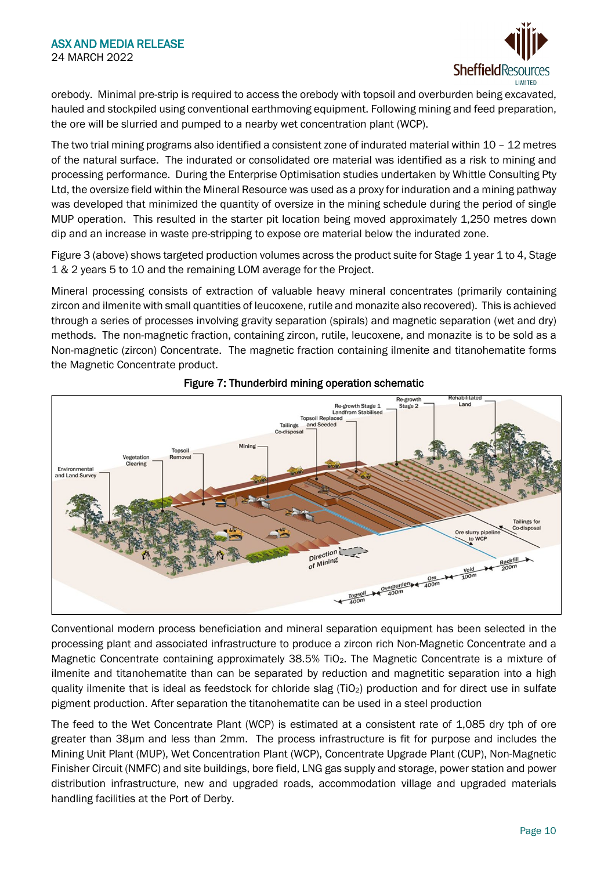

orebody. Minimal pre-strip is required to access the orebody with topsoil and overburden being excavated, hauled and stockpiled using conventional earthmoving equipment. Following mining and feed preparation, the ore will be slurried and pumped to a nearby wet concentration plant (WCP).

The two trial mining programs also identified a consistent zone of indurated material within 10 – 12 metres of the natural surface. The indurated or consolidated ore material was identified as a risk to mining and processing performance. During the Enterprise Optimisation studies undertaken by Whittle Consulting Pty Ltd, the oversize field within the Mineral Resource was used as a proxy for induration and a mining pathway was developed that minimized the quantity of oversize in the mining schedule during the period of single MUP operation. This resulted in the starter pit location being moved approximately 1,250 metres down dip and an increase in waste pre-stripping to expose ore material below the indurated zone.

Figure 3 (above) shows targeted production volumes across the product suite for Stage 1 year 1 to 4, Stage 1 & 2 years 5 to 10 and the remaining LOM average for the Project.

Mineral processing consists of extraction of valuable heavy mineral concentrates (primarily containing zircon and ilmenite with small quantities of leucoxene, rutile and monazite also recovered). This is achieved through a series of processes involving gravity separation (spirals) and magnetic separation (wet and dry) methods. The non-magnetic fraction, containing zircon, rutile, leucoxene, and monazite is to be sold as a Non-magnetic (zircon) Concentrate. The magnetic fraction containing ilmenite and titanohematite forms the Magnetic Concentrate product.





Conventional modern process beneficiation and mineral separation equipment has been selected in the processing plant and associated infrastructure to produce a zircon rich Non-Magnetic Concentrate and a Magnetic Concentrate containing approximately 38.5% TiO<sub>2</sub>. The Magnetic Concentrate is a mixture of ilmenite and titanohematite than can be separated by reduction and magnetitic separation into a high quality ilmenite that is ideal as feedstock for chloride slag (TiO<sub>2</sub>) production and for direct use in sulfate pigment production. After separation the titanohematite can be used in a steel production

The feed to the Wet Concentrate Plant (WCP) is estimated at a consistent rate of 1,085 dry tph of ore greater than 38µm and less than 2mm. The process infrastructure is fit for purpose and includes the Mining Unit Plant (MUP), Wet Concentration Plant (WCP), Concentrate Upgrade Plant (CUP), Non-Magnetic Finisher Circuit (NMFC) and site buildings, bore field, LNG gas supply and storage, power station and power distribution infrastructure, new and upgraded roads, accommodation village and upgraded materials handling facilities at the Port of Derby.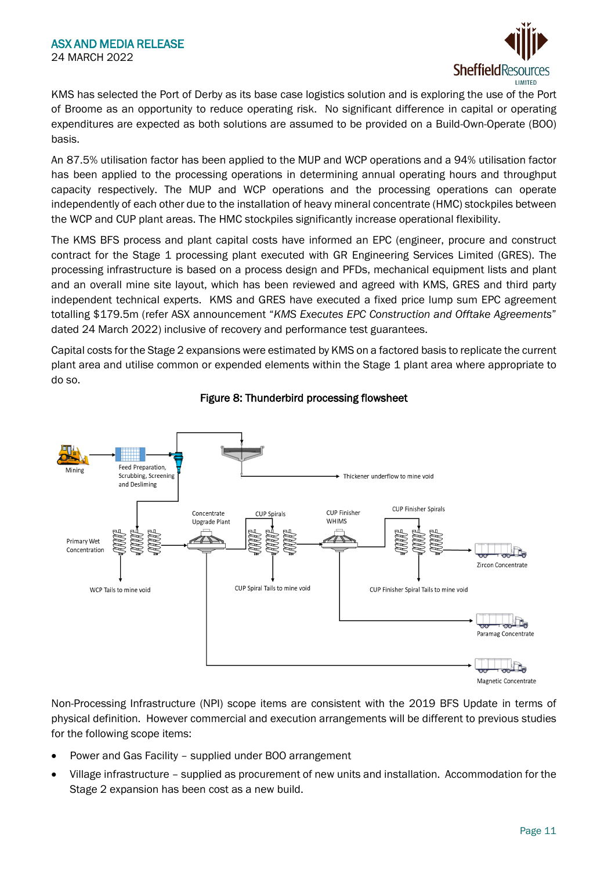

KMS has selected the Port of Derby as its base case logistics solution and is exploring the use of the Port of Broome as an opportunity to reduce operating risk. No significant difference in capital or operating expenditures are expected as both solutions are assumed to be provided on a Build-Own-Operate (BOO) basis.

An 87.5% utilisation factor has been applied to the MUP and WCP operations and a 94% utilisation factor has been applied to the processing operations in determining annual operating hours and throughput capacity respectively. The MUP and WCP operations and the processing operations can operate independently of each other due to the installation of heavy mineral concentrate (HMC) stockpiles between the WCP and CUP plant areas. The HMC stockpiles significantly increase operational flexibility.

The KMS BFS process and plant capital costs have informed an EPC (engineer, procure and construct contract for the Stage 1 processing plant executed with GR Engineering Services Limited (GRES). The processing infrastructure is based on a process design and PFDs, mechanical equipment lists and plant and an overall mine site layout, which has been reviewed and agreed with KMS, GRES and third party independent technical experts. KMS and GRES have executed a fixed price lump sum EPC agreement totalling \$179.5m (refer ASX announcement "*KMS Executes EPC Construction and Offtake Agreements*" dated 24 March 2022) inclusive of recovery and performance test guarantees.

Capital costs for the Stage 2 expansions were estimated by KMS on a factored basis to replicate the current plant area and utilise common or expended elements within the Stage 1 plant area where appropriate to do so.



# Figure 8: Thunderbird processing flowsheet

Non-Processing Infrastructure (NPI) scope items are consistent with the 2019 BFS Update in terms of physical definition. However commercial and execution arrangements will be different to previous studies for the following scope items:

- Power and Gas Facility supplied under BOO arrangement
- Village infrastructure supplied as procurement of new units and installation. Accommodation for the Stage 2 expansion has been cost as a new build.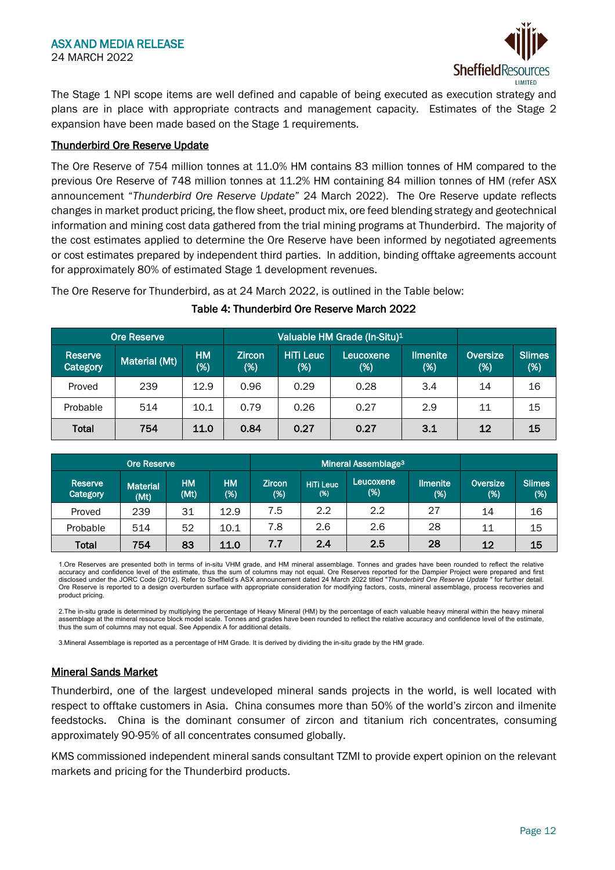

The Stage 1 NPI scope items are well defined and capable of being executed as execution strategy and plans are in place with appropriate contracts and management capacity. Estimates of the Stage 2 expansion have been made based on the Stage 1 requirements.

#### Thunderbird Ore Reserve Update

The Ore Reserve of 754 million tonnes at 11.0% HM contains 83 million tonnes of HM compared to the previous Ore Reserve of 748 million tonnes at 11.2% HM containing 84 million tonnes of HM (refer ASX announcement "*Thunderbird Ore Reserve Update*" 24 March 2022). The Ore Reserve update reflects changes in market product pricing, the flow sheet, product mix, ore feed blending strategy and geotechnical information and mining cost data gathered from the trial mining programs at Thunderbird. The majority of the cost estimates applied to determine the Ore Reserve have been informed by negotiated agreements or cost estimates prepared by independent third parties. In addition, binding offtake agreements account for approximately 80% of estimated Stage 1 development revenues.

The Ore Reserve for Thunderbird, as at 24 March 2022, is outlined in the Table below:

| <b>Ore Reserve</b>         | Valuable HM Grade (In-Situ) <sup>1</sup> |                     |                      |                  |                  |                        |                    |                  |
|----------------------------|------------------------------------------|---------------------|----------------------|------------------|------------------|------------------------|--------------------|------------------|
| Reserve<br><b>Category</b> | Material (Mt)                            | <b>HM</b><br>$(\%)$ | <b>Zircon</b><br>(%) | HiTi Leuc<br>(%) | Leucoxene<br>(%) | <b>Ilmenite</b><br>(%) | Oversize<br>$(\%)$ | Slimes<br>$(\%)$ |
| Proved                     | 239                                      | 12.9                | 0.96                 | 0.29             | 0.28             | 3.4                    | 14                 | 16               |
| Probable                   | 514                                      | 10.1                | 0.79                 | 0.26             | 0.27             | 2.9                    | 11                 | 15               |
| <b>Total</b>               | 754                                      | 11.0                | 0.84                 | 0.27             | 0.27             | 3.1                    | 12                 | 15               |

## Table 4: Thunderbird Ore Reserve March 2022

| <b>Ore Reserve</b>  |                         |                   |                  | Mineral Assemblage <sup>3</sup> |                         |                     |                        |                    |                         |
|---------------------|-------------------------|-------------------|------------------|---------------------------------|-------------------------|---------------------|------------------------|--------------------|-------------------------|
| Reserve<br>Category | <b>Material</b><br>(Mt) | <b>HM</b><br>(Mt) | <b>HM</b><br>(%) | <b>Zircon</b><br>$(\%)$         | <b>HiTi Leuc</b><br>(%) | Leucoxene<br>$(\%)$ | <b>Ilmenite</b><br>(%) | Oversize<br>$(\%)$ | <b>Slimes</b><br>$(\%)$ |
| Proved              | 239                     | 31                | 12.9             | 7.5                             | 2.2                     | 2.2                 | 27                     | 14                 | 16                      |
| Probable            | 514                     | 52                | 10.1             | 7.8                             | 2.6                     | 2.6                 | 28                     | 11                 | 15                      |
| Total               | 754                     | 83                | 11.0             | 7.7                             | 2.4                     | 2.5                 | 28                     | 12                 | 15                      |

1.Ore Reserves are presented both in terms of in-situ VHM grade, and HM mineral assemblage. Tonnes and grades have been rounded to reflect the relative<br>accuracy and confidence level of the estimate, thus the sum of columns disclosed under the JORC Code (2012). Refer to Sheffield's ASX announcement dated 24 March 2022 titled "*Thunderbird Ore Reserve Update* " for further detail. Ore Reserve is reported to a design overburden surface with appropriate consideration for modifying factors, costs, mineral assemblage, process recoveries and product pricing.

2.The in-situ grade is determined by multiplying the percentage of Heavy Mineral (HM) by the percentage of each valuable heavy mineral within the heavy mineral assemblage at the mineral resource block model scale. Tonnes and grades have been rounded to reflect the relative accuracy and confidence level of the estimate, thus the sum of columns may not equal. See Appendix A for additional details.

3.Mineral Assemblage is reported as a percentage of HM Grade. It is derived by dividing the in-situ grade by the HM grade.

# Mineral Sands Market

Thunderbird, one of the largest undeveloped mineral sands projects in the world, is well located with respect to offtake customers in Asia. China consumes more than 50% of the world's zircon and ilmenite feedstocks. China is the dominant consumer of zircon and titanium rich concentrates, consuming approximately 90-95% of all concentrates consumed globally.

KMS commissioned independent mineral sands consultant TZMI to provide expert opinion on the relevant markets and pricing for the Thunderbird products.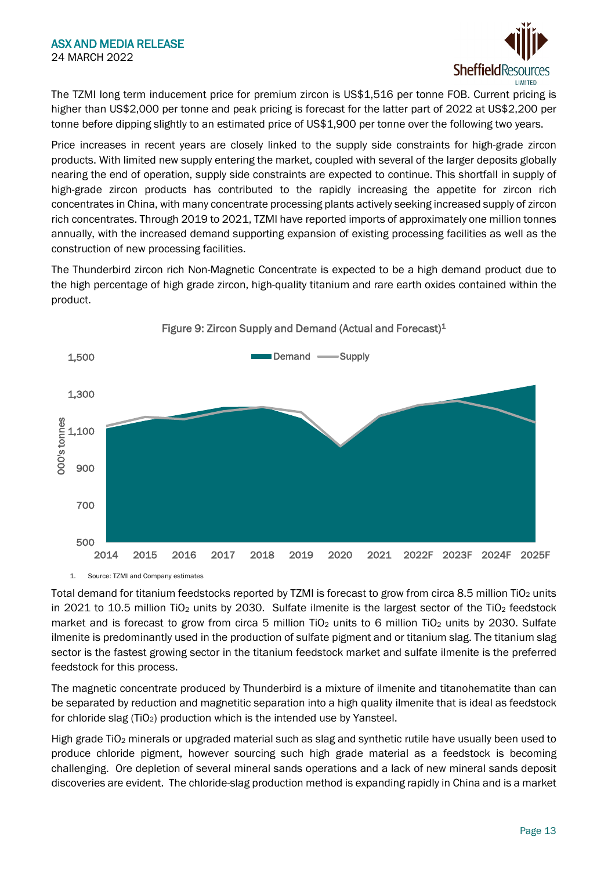

The TZMI long term inducement price for premium zircon is US\$1,516 per tonne FOB. Current pricing is higher than US\$2,000 per tonne and peak pricing is forecast for the latter part of 2022 at US\$2,200 per tonne before dipping slightly to an estimated price of US\$1,900 per tonne over the following two years.

Price increases in recent years are closely linked to the supply side constraints for high-grade zircon products. With limited new supply entering the market, coupled with several of the larger deposits globally nearing the end of operation, supply side constraints are expected to continue. This shortfall in supply of high-grade zircon products has contributed to the rapidly increasing the appetite for zircon rich concentrates in China, with many concentrate processing plants actively seeking increased supply of zircon rich concentrates. Through 2019 to 2021, TZMI have reported imports of approximately one million tonnes annually, with the increased demand supporting expansion of existing processing facilities as well as the construction of new processing facilities.

The Thunderbird zircon rich Non-Magnetic Concentrate is expected to be a high demand product due to the high percentage of high grade zircon, high-quality titanium and rare earth oxides contained within the product.



Figure 9: Zircon Supply and Demand (Actual and Forecast)<sup>1</sup>

1. Source: TZMI and Company estimates

Total demand for titanium feedstocks reported by TZMI is forecast to grow from circa 8.5 million TiO<sub>2</sub> units in 2021 to 10.5 million TiO<sub>2</sub> units by 2030. Sulfate ilmenite is the largest sector of the TiO<sub>2</sub> feedstock market and is forecast to grow from circa 5 million TiO<sub>2</sub> units to 6 million TiO<sub>2</sub> units by 2030. Sulfate ilmenite is predominantly used in the production of sulfate pigment and or titanium slag. The titanium slag sector is the fastest growing sector in the titanium feedstock market and sulfate ilmenite is the preferred feedstock for this process.

The magnetic concentrate produced by Thunderbird is a mixture of ilmenite and titanohematite than can be separated by reduction and magnetitic separation into a high quality ilmenite that is ideal as feedstock for chloride slag (TiO<sub>2</sub>) production which is the intended use by Yansteel.

High grade TiO<sub>2</sub> minerals or upgraded material such as slag and synthetic rutile have usually been used to produce chloride pigment, however sourcing such high grade material as a feedstock is becoming challenging. Ore depletion of several mineral sands operations and a lack of new mineral sands deposit discoveries are evident. The chloride-slag production method is expanding rapidly in China and is a market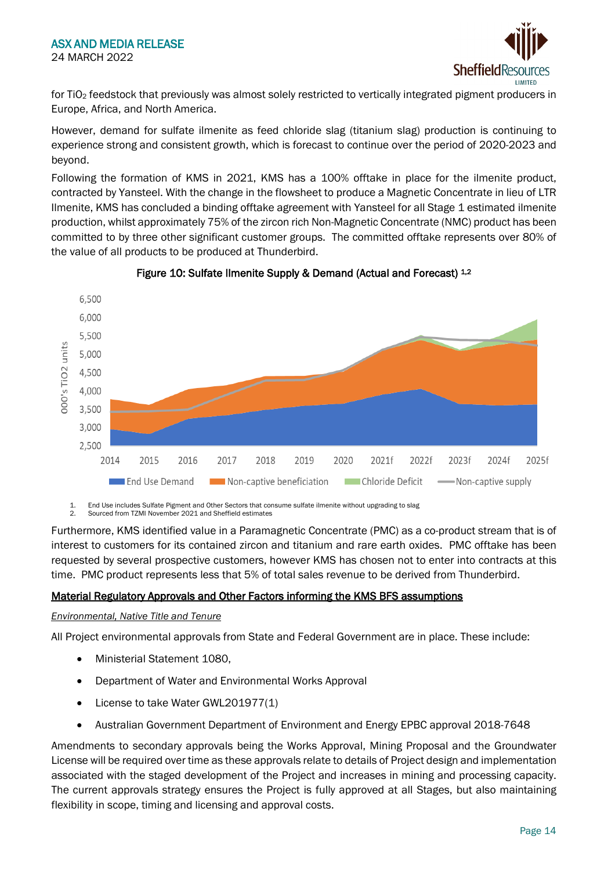

for TiO2 feedstock that previously was almost solely restricted to vertically integrated pigment producers in Europe, Africa, and North America.

However, demand for sulfate ilmenite as feed chloride slag (titanium slag) production is continuing to experience strong and consistent growth, which is forecast to continue over the period of 2020-2023 and beyond.

Following the formation of KMS in 2021, KMS has a 100% offtake in place for the ilmenite product, contracted by Yansteel. With the change in the flowsheet to produce a Magnetic Concentrate in lieu of LTR Ilmenite, KMS has concluded a binding offtake agreement with Yansteel for all Stage 1 estimated ilmenite production, whilst approximately 75% of the zircon rich Non-Magnetic Concentrate (NMC) product has been committed to by three other significant customer groups. The committed offtake represents over 80% of the value of all products to be produced at Thunderbird.



# Figure 10: Sulfate Ilmenite Supply & Demand (Actual and Forecast) 1,2

1. End Use includes Sulfate Pigment and Other Sectors that consume sulfate ilmenite without upgrading to slag<br>2. Sourced from TZMI November 2021 and Sheffield estimates

2. Sourced from TZMI November 2021 and Sheffield estimates

Furthermore, KMS identified value in a Paramagnetic Concentrate (PMC) as a co-product stream that is of interest to customers for its contained zircon and titanium and rare earth oxides. PMC offtake has been requested by several prospective customers, however KMS has chosen not to enter into contracts at this time. PMC product represents less that 5% of total sales revenue to be derived from Thunderbird.

# Material Regulatory Approvals and Other Factors informing the KMS BFS assumptions

#### *Environmental, Native Title and Tenure*

All Project environmental approvals from State and Federal Government are in place. These include:

- Ministerial Statement 1080,
- Department of Water and Environmental Works Approval
- License to take Water GWL201977(1)
- Australian Government Department of Environment and Energy EPBC approval 2018-7648

Amendments to secondary approvals being the Works Approval, Mining Proposal and the Groundwater License will be required over time as these approvals relate to details of Project design and implementation associated with the staged development of the Project and increases in mining and processing capacity. The current approvals strategy ensures the Project is fully approved at all Stages, but also maintaining flexibility in scope, timing and licensing and approval costs.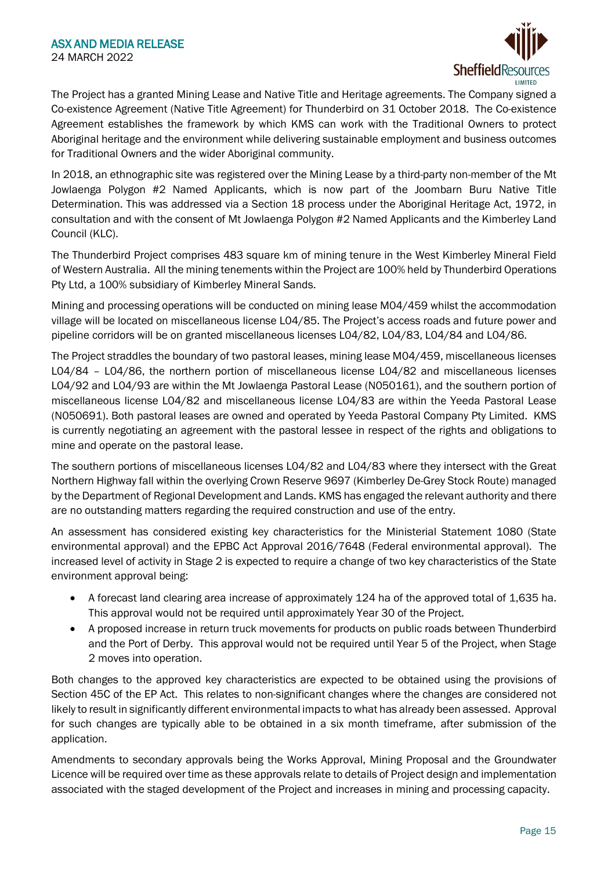

The Project has a granted Mining Lease and Native Title and Heritage agreements. The Company signed a Co-existence Agreement (Native Title Agreement) for Thunderbird on 31 October 2018. The Co-existence Agreement establishes the framework by which KMS can work with the Traditional Owners to protect Aboriginal heritage and the environment while delivering sustainable employment and business outcomes for Traditional Owners and the wider Aboriginal community.

In 2018, an ethnographic site was registered over the Mining Lease by a third-party non-member of the Mt Jowlaenga Polygon #2 Named Applicants, which is now part of the Joombarn Buru Native Title Determination. This was addressed via a Section 18 process under the Aboriginal Heritage Act, 1972, in consultation and with the consent of Mt Jowlaenga Polygon #2 Named Applicants and the Kimberley Land Council (KLC).

The Thunderbird Project comprises 483 square km of mining tenure in the West Kimberley Mineral Field of Western Australia. All the mining tenements within the Project are 100% held by Thunderbird Operations Pty Ltd, a 100% subsidiary of Kimberley Mineral Sands.

Mining and processing operations will be conducted on mining lease M04/459 whilst the accommodation village will be located on miscellaneous license L04/85. The Project's access roads and future power and pipeline corridors will be on granted miscellaneous licenses L04/82, L04/83, L04/84 and L04/86.

The Project straddles the boundary of two pastoral leases, mining lease M04/459, miscellaneous licenses L04/84 – L04/86, the northern portion of miscellaneous license L04/82 and miscellaneous licenses L04/92 and L04/93 are within the Mt Jowlaenga Pastoral Lease (N050161), and the southern portion of miscellaneous license L04/82 and miscellaneous license L04/83 are within the Yeeda Pastoral Lease (N050691). Both pastoral leases are owned and operated by Yeeda Pastoral Company Pty Limited. KMS is currently negotiating an agreement with the pastoral lessee in respect of the rights and obligations to mine and operate on the pastoral lease.

The southern portions of miscellaneous licenses L04/82 and L04/83 where they intersect with the Great Northern Highway fall within the overlying Crown Reserve 9697 (Kimberley De-Grey Stock Route) managed by the Department of Regional Development and Lands. KMS has engaged the relevant authority and there are no outstanding matters regarding the required construction and use of the entry.

An assessment has considered existing key characteristics for the Ministerial Statement 1080 (State environmental approval) and the EPBC Act Approval 2016/7648 (Federal environmental approval). The increased level of activity in Stage 2 is expected to require a change of two key characteristics of the State environment approval being:

- A forecast land clearing area increase of approximately 124 ha of the approved total of 1,635 ha. This approval would not be required until approximately Year 30 of the Project.
- A proposed increase in return truck movements for products on public roads between Thunderbird and the Port of Derby. This approval would not be required until Year 5 of the Project, when Stage 2 moves into operation.

Both changes to the approved key characteristics are expected to be obtained using the provisions of Section 45C of the EP Act. This relates to non-significant changes where the changes are considered not likely to result in significantly different environmental impacts to what has already been assessed. Approval for such changes are typically able to be obtained in a six month timeframe, after submission of the application.

Amendments to secondary approvals being the Works Approval, Mining Proposal and the Groundwater Licence will be required over time as these approvals relate to details of Project design and implementation associated with the staged development of the Project and increases in mining and processing capacity.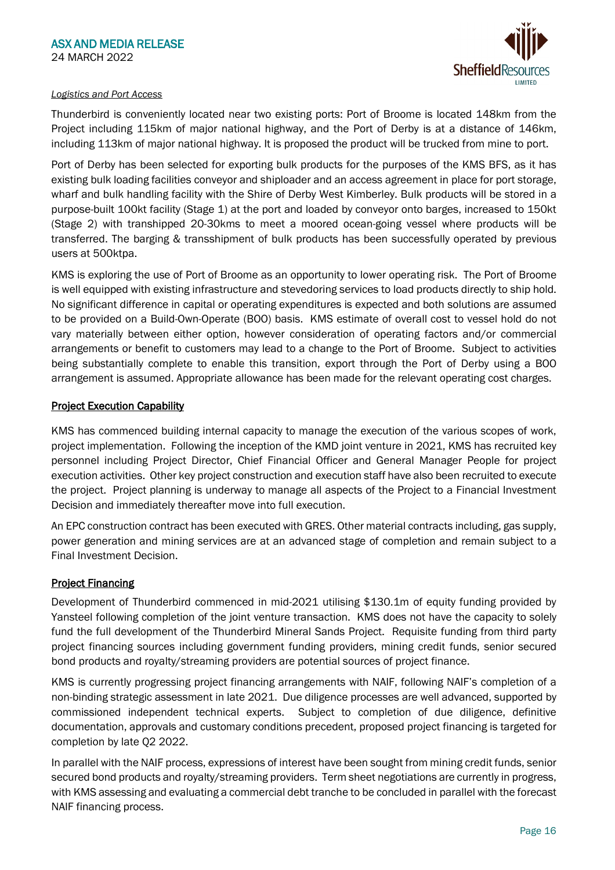

## *Logistics and Port Access*

Thunderbird is conveniently located near two existing ports: Port of Broome is located 148km from the Project including 115km of major national highway, and the Port of Derby is at a distance of 146km, including 113km of major national highway. It is proposed the product will be trucked from mine to port.

Port of Derby has been selected for exporting bulk products for the purposes of the KMS BFS, as it has existing bulk loading facilities conveyor and shiploader and an access agreement in place for port storage, wharf and bulk handling facility with the Shire of Derby West Kimberley. Bulk products will be stored in a purpose-built 100kt facility (Stage 1) at the port and loaded by conveyor onto barges, increased to 150kt (Stage 2) with transhipped 20-30kms to meet a moored ocean-going vessel where products will be transferred. The barging & transshipment of bulk products has been successfully operated by previous users at 500ktpa.

KMS is exploring the use of Port of Broome as an opportunity to lower operating risk. The Port of Broome is well equipped with existing infrastructure and stevedoring services to load products directly to ship hold. No significant difference in capital or operating expenditures is expected and both solutions are assumed to be provided on a Build-Own-Operate (BOO) basis. KMS estimate of overall cost to vessel hold do not vary materially between either option, however consideration of operating factors and/or commercial arrangements or benefit to customers may lead to a change to the Port of Broome. Subject to activities being substantially complete to enable this transition, export through the Port of Derby using a BOO arrangement is assumed. Appropriate allowance has been made for the relevant operating cost charges.

# **Project Execution Capability**

KMS has commenced building internal capacity to manage the execution of the various scopes of work, project implementation. Following the inception of the KMD joint venture in 2021, KMS has recruited key personnel including Project Director, Chief Financial Officer and General Manager People for project execution activities. Other key project construction and execution staff have also been recruited to execute the project. Project planning is underway to manage all aspects of the Project to a Financial Investment Decision and immediately thereafter move into full execution.

An EPC construction contract has been executed with GRES. Other material contracts including, gas supply, power generation and mining services are at an advanced stage of completion and remain subject to a Final Investment Decision.

# **Project Financing**

Development of Thunderbird commenced in mid-2021 utilising \$130.1m of equity funding provided by Yansteel following completion of the joint venture transaction. KMS does not have the capacity to solely fund the full development of the Thunderbird Mineral Sands Project. Requisite funding from third party project financing sources including government funding providers, mining credit funds, senior secured bond products and royalty/streaming providers are potential sources of project finance.

KMS is currently progressing project financing arrangements with NAIF, following NAIF's completion of a non-binding strategic assessment in late 2021. Due diligence processes are well advanced, supported by commissioned independent technical experts. Subject to completion of due diligence, definitive documentation, approvals and customary conditions precedent, proposed project financing is targeted for completion by late Q2 2022.

In parallel with the NAIF process, expressions of interest have been sought from mining credit funds, senior secured bond products and royalty/streaming providers. Term sheet negotiations are currently in progress, with KMS assessing and evaluating a commercial debt tranche to be concluded in parallel with the forecast NAIF financing process.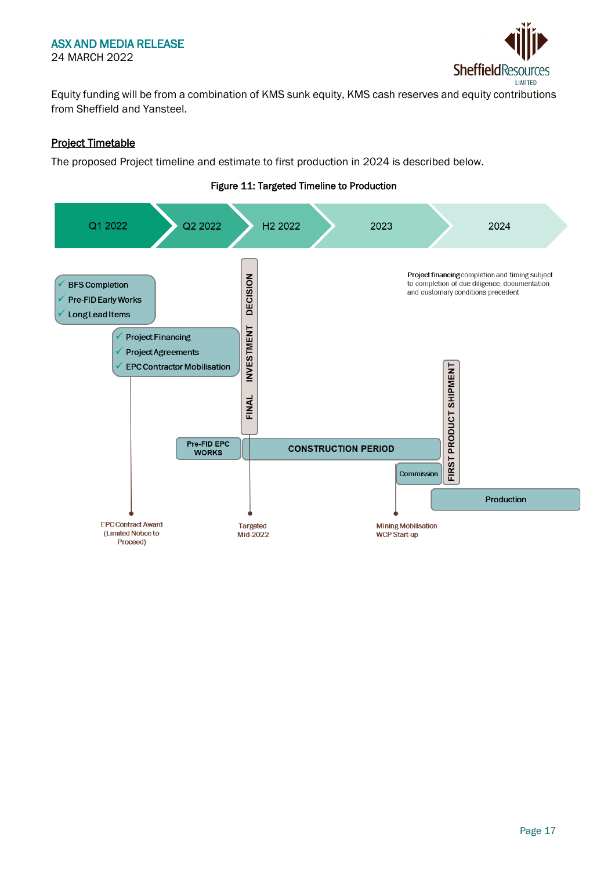## ASX AND MEDIA RELEASE 24 MARCH 2022



Equity funding will be from a combination of KMS sunk equity, KMS cash reserves and equity contributions from Sheffield and Yansteel.

# Project Timetable

The proposed Project timeline and estimate to first production in 2024 is described below.

# Figure 11: Targeted Timeline to Production

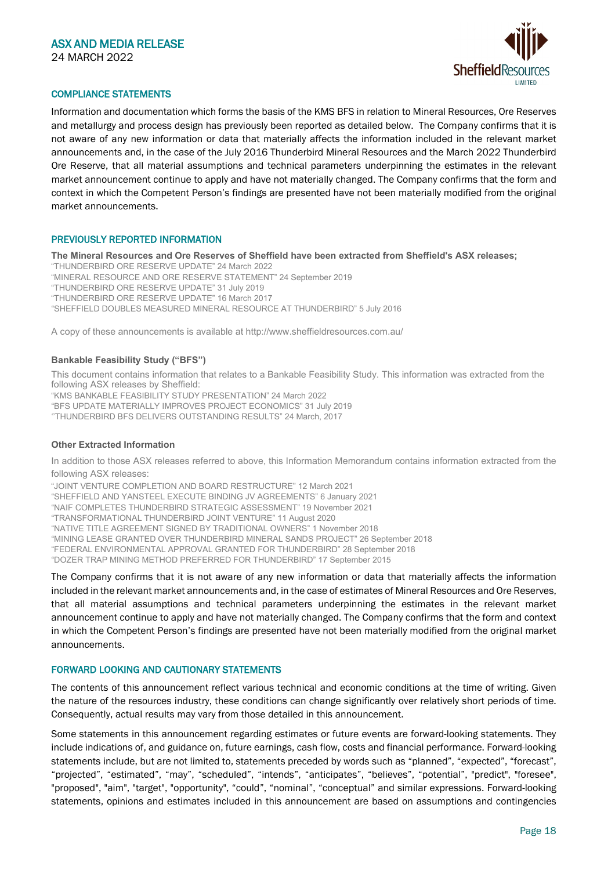

#### COMPLIANCE STATEMENTS

Information and documentation which forms the basis of the KMS BFS in relation to Mineral Resources, Ore Reserves and metallurgy and process design has previously been reported as detailed below. The Company confirms that it is not aware of any new information or data that materially affects the information included in the relevant market announcements and, in the case of the July 2016 Thunderbird Mineral Resources and the March 2022 Thunderbird Ore Reserve, that all material assumptions and technical parameters underpinning the estimates in the relevant market announcement continue to apply and have not materially changed. The Company confirms that the form and context in which the Competent Person's findings are presented have not been materially modified from the original market announcements.

#### PREVIOUSLY REPORTED INFORMATION

**The Mineral Resources and Ore Reserves of Sheffield have been extracted from Sheffield's ASX releases;**

"THUNDERBIRD ORE RESERVE UPDATE" 24 March 2022 "MINERAL RESOURCE AND ORE RESERVE STATEMENT" 24 September 2019 "THUNDERBIRD ORE RESERVE UPDATE" 31 July 2019 "THUNDERBIRD ORE RESERVE UPDATE" 16 March 2017 "SHEFFIELD DOUBLES MEASURED MINERAL RESOURCE AT THUNDERBIRD" 5 July 2016

A copy of these announcements is available at http://www.sheffieldresources.com.au/

#### **Bankable Feasibility Study ("BFS")**

This document contains information that relates to a Bankable Feasibility Study. This information was extracted from the following ASX releases by Sheffield: "KMS BANKABLE FEASIBILITY STUDY PRESENTATION" 24 March 2022 "BFS UPDATE MATERIALLY IMPROVES PROJECT ECONOMICS" 31 July 2019 ''THUNDERBIRD BFS DELIVERS OUTSTANDING RESULTS" 24 March, 2017

#### **Other Extracted Information**

In addition to those ASX releases referred to above, this Information Memorandum contains information extracted from the following ASX releases:

"JOINT VENTURE COMPLETION AND BOARD RESTRUCTURE" 12 March 2021 "SHEFFIELD AND YANSTEEL EXECUTE BINDING JV AGREEMENTS" 6 January 2021 "NAIF COMPLETES THUNDERBIRD STRATEGIC ASSESSMENT" 19 November 2021 "TRANSFORMATIONAL THUNDERBIRD JOINT VENTURE" 11 August 2020 "NATIVE TITLE AGREEMENT SIGNED BY TRADITIONAL OWNERS" 1 November 2018 "MINING LEASE GRANTED OVER THUNDERBIRD MINERAL SANDS PROJECT" 26 September 2018 "FEDERAL ENVIRONMENTAL APPROVAL GRANTED FOR THUNDERBIRD" 28 September 2018 "DOZER TRAP MINING METHOD PREFERRED FOR THUNDERBIRD" 17 September 2015

The Company confirms that it is not aware of any new information or data that materially affects the information included in the relevant market announcements and, in the case of estimates of Mineral Resources and Ore Reserves, that all material assumptions and technical parameters underpinning the estimates in the relevant market announcement continue to apply and have not materially changed. The Company confirms that the form and context in which the Competent Person's findings are presented have not been materially modified from the original market announcements.

#### FORWARD LOOKING AND CAUTIONARY STATEMENTS

The contents of this announcement reflect various technical and economic conditions at the time of writing. Given the nature of the resources industry, these conditions can change significantly over relatively short periods of time. Consequently, actual results may vary from those detailed in this announcement.

Some statements in this announcement regarding estimates or future events are forward-looking statements. They include indications of, and guidance on, future earnings, cash flow, costs and financial performance. Forward-looking statements include, but are not limited to, statements preceded by words such as "planned", "expected", "forecast", "projected", "estimated", "may", "scheduled", "intends", "anticipates", "believes", "potential", "predict", "foresee", "proposed", "aim", "target", "opportunity", "could", "nominal", "conceptual" and similar expressions. Forward-looking statements, opinions and estimates included in this announcement are based on assumptions and contingencies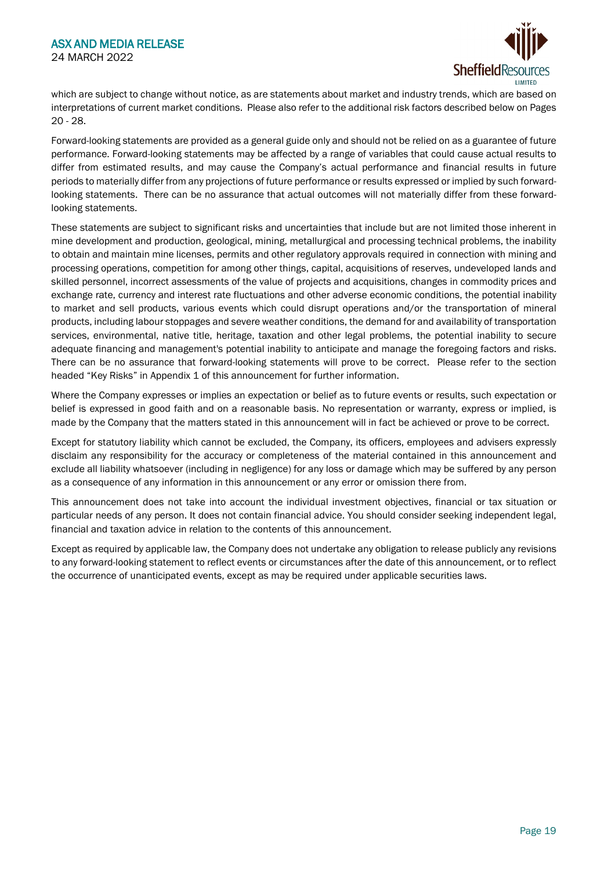

which are subject to change without notice, as are statements about market and industry trends, which are based on interpretations of current market conditions. Please also refer to the additional risk factors described below on Pages 20 - 28.

Forward-looking statements are provided as a general guide only and should not be relied on as a guarantee of future performance. Forward-looking statements may be affected by a range of variables that could cause actual results to differ from estimated results, and may cause the Company's actual performance and financial results in future periods to materially differ from any projections of future performance or results expressed or implied by such forwardlooking statements. There can be no assurance that actual outcomes will not materially differ from these forwardlooking statements.

These statements are subject to significant risks and uncertainties that include but are not limited those inherent in mine development and production, geological, mining, metallurgical and processing technical problems, the inability to obtain and maintain mine licenses, permits and other regulatory approvals required in connection with mining and processing operations, competition for among other things, capital, acquisitions of reserves, undeveloped lands and skilled personnel, incorrect assessments of the value of projects and acquisitions, changes in commodity prices and exchange rate, currency and interest rate fluctuations and other adverse economic conditions, the potential inability to market and sell products, various events which could disrupt operations and/or the transportation of mineral products, including labour stoppages and severe weather conditions, the demand for and availability of transportation services, environmental, native title, heritage, taxation and other legal problems, the potential inability to secure adequate financing and management's potential inability to anticipate and manage the foregoing factors and risks. There can be no assurance that forward-looking statements will prove to be correct. Please refer to the section headed "Key Risks" in Appendix 1 of this announcement for further information.

Where the Company expresses or implies an expectation or belief as to future events or results, such expectation or belief is expressed in good faith and on a reasonable basis. No representation or warranty, express or implied, is made by the Company that the matters stated in this announcement will in fact be achieved or prove to be correct.

Except for statutory liability which cannot be excluded, the Company, its officers, employees and advisers expressly disclaim any responsibility for the accuracy or completeness of the material contained in this announcement and exclude all liability whatsoever (including in negligence) for any loss or damage which may be suffered by any person as a consequence of any information in this announcement or any error or omission there from.

This announcement does not take into account the individual investment objectives, financial or tax situation or particular needs of any person. It does not contain financial advice. You should consider seeking independent legal, financial and taxation advice in relation to the contents of this announcement.

Except as required by applicable law, the Company does not undertake any obligation to release publicly any revisions to any forward-looking statement to reflect events or circumstances after the date of this announcement, or to reflect the occurrence of unanticipated events, except as may be required under applicable securities laws.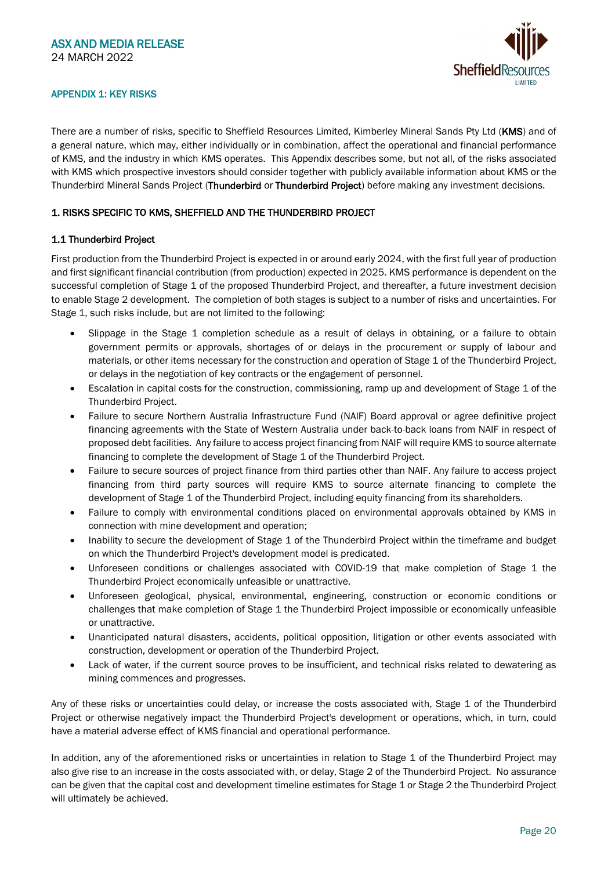

#### APPENDIX 1: KEY RISKS

There are a number of risks, specific to Sheffield Resources Limited, Kimberley Mineral Sands Pty Ltd (KMS) and of a general nature, which may, either individually or in combination, affect the operational and financial performance of KMS, and the industry in which KMS operates. This Appendix describes some, but not all, of the risks associated with KMS which prospective investors should consider together with publicly available information about KMS or the Thunderbird Mineral Sands Project (Thunderbird or Thunderbird Project) before making any investment decisions.

#### 1. RISKS SPECIFIC TO KMS, SHEFFIELD AND THE THUNDERBIRD PROJECT

#### 1.1 Thunderbird Project

First production from the Thunderbird Project is expected in or around early 2024, with the first full year of production and first significant financial contribution (from production) expected in 2025. KMS performance is dependent on the successful completion of Stage 1 of the proposed Thunderbird Project, and thereafter, a future investment decision to enable Stage 2 development. The completion of both stages is subject to a number of risks and uncertainties. For Stage 1, such risks include, but are not limited to the following:

- Slippage in the Stage 1 completion schedule as a result of delays in obtaining, or a failure to obtain government permits or approvals, shortages of or delays in the procurement or supply of labour and materials, or other items necessary for the construction and operation of Stage 1 of the Thunderbird Project, or delays in the negotiation of key contracts or the engagement of personnel.
- Escalation in capital costs for the construction, commissioning, ramp up and development of Stage 1 of the Thunderbird Project.
- Failure to secure Northern Australia Infrastructure Fund (NAIF) Board approval or agree definitive project financing agreements with the State of Western Australia under back-to-back loans from NAIF in respect of proposed debt facilities. Any failure to access project financing from NAIF will require KMS to source alternate financing to complete the development of Stage 1 of the Thunderbird Project.
- Failure to secure sources of project finance from third parties other than NAIF. Any failure to access project financing from third party sources will require KMS to source alternate financing to complete the development of Stage 1 of the Thunderbird Project, including equity financing from its shareholders.
- Failure to comply with environmental conditions placed on environmental approvals obtained by KMS in connection with mine development and operation;
- Inability to secure the development of Stage 1 of the Thunderbird Project within the timeframe and budget on which the Thunderbird Project's development model is predicated.
- Unforeseen conditions or challenges associated with COVID-19 that make completion of Stage 1 the Thunderbird Project economically unfeasible or unattractive.
- Unforeseen geological, physical, environmental, engineering, construction or economic conditions or challenges that make completion of Stage 1 the Thunderbird Project impossible or economically unfeasible or unattractive.
- Unanticipated natural disasters, accidents, political opposition, litigation or other events associated with construction, development or operation of the Thunderbird Project.
- Lack of water, if the current source proves to be insufficient, and technical risks related to dewatering as mining commences and progresses.

Any of these risks or uncertainties could delay, or increase the costs associated with, Stage 1 of the Thunderbird Project or otherwise negatively impact the Thunderbird Project's development or operations, which, in turn, could have a material adverse effect of KMS financial and operational performance.

In addition, any of the aforementioned risks or uncertainties in relation to Stage 1 of the Thunderbird Project may also give rise to an increase in the costs associated with, or delay, Stage 2 of the Thunderbird Project. No assurance can be given that the capital cost and development timeline estimates for Stage 1 or Stage 2 the Thunderbird Project will ultimately be achieved.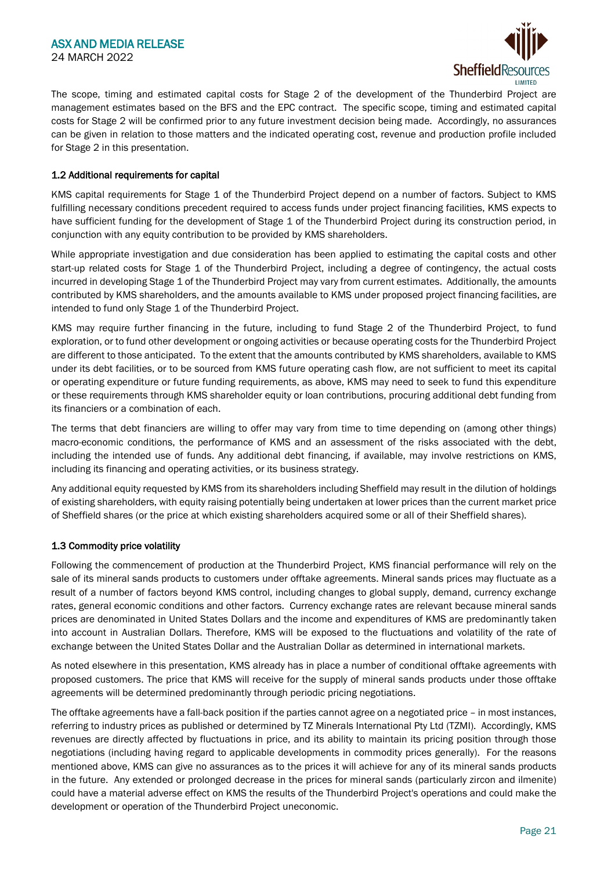

The scope, timing and estimated capital costs for Stage 2 of the development of the Thunderbird Project are management estimates based on the BFS and the EPC contract. The specific scope, timing and estimated capital costs for Stage 2 will be confirmed prior to any future investment decision being made. Accordingly, no assurances can be given in relation to those matters and the indicated operating cost, revenue and production profile included for Stage 2 in this presentation.

#### 1.2 Additional requirements for capital

KMS capital requirements for Stage 1 of the Thunderbird Project depend on a number of factors. Subject to KMS fulfilling necessary conditions precedent required to access funds under project financing facilities, KMS expects to have sufficient funding for the development of Stage 1 of the Thunderbird Project during its construction period, in conjunction with any equity contribution to be provided by KMS shareholders.

While appropriate investigation and due consideration has been applied to estimating the capital costs and other start-up related costs for Stage 1 of the Thunderbird Project, including a degree of contingency, the actual costs incurred in developing Stage 1 of the Thunderbird Project may vary from current estimates. Additionally, the amounts contributed by KMS shareholders, and the amounts available to KMS under proposed project financing facilities, are intended to fund only Stage 1 of the Thunderbird Project.

KMS may require further financing in the future, including to fund Stage 2 of the Thunderbird Project, to fund exploration, or to fund other development or ongoing activities or because operating costs for the Thunderbird Project are different to those anticipated. To the extent that the amounts contributed by KMS shareholders, available to KMS under its debt facilities, or to be sourced from KMS future operating cash flow, are not sufficient to meet its capital or operating expenditure or future funding requirements, as above, KMS may need to seek to fund this expenditure or these requirements through KMS shareholder equity or loan contributions, procuring additional debt funding from its financiers or a combination of each.

The terms that debt financiers are willing to offer may vary from time to time depending on (among other things) macro-economic conditions, the performance of KMS and an assessment of the risks associated with the debt, including the intended use of funds. Any additional debt financing, if available, may involve restrictions on KMS, including its financing and operating activities, or its business strategy.

Any additional equity requested by KMS from its shareholders including Sheffield may result in the dilution of holdings of existing shareholders, with equity raising potentially being undertaken at lower prices than the current market price of Sheffield shares (or the price at which existing shareholders acquired some or all of their Sheffield shares).

#### 1.3 Commodity price volatility

Following the commencement of production at the Thunderbird Project, KMS financial performance will rely on the sale of its mineral sands products to customers under offtake agreements. Mineral sands prices may fluctuate as a result of a number of factors beyond KMS control, including changes to global supply, demand, currency exchange rates, general economic conditions and other factors. Currency exchange rates are relevant because mineral sands prices are denominated in United States Dollars and the income and expenditures of KMS are predominantly taken into account in Australian Dollars. Therefore, KMS will be exposed to the fluctuations and volatility of the rate of exchange between the United States Dollar and the Australian Dollar as determined in international markets.

As noted elsewhere in this presentation, KMS already has in place a number of conditional offtake agreements with proposed customers. The price that KMS will receive for the supply of mineral sands products under those offtake agreements will be determined predominantly through periodic pricing negotiations.

The offtake agreements have a fall-back position if the parties cannot agree on a negotiated price – in most instances, referring to industry prices as published or determined by TZ Minerals International Pty Ltd (TZMI). Accordingly, KMS revenues are directly affected by fluctuations in price, and its ability to maintain its pricing position through those negotiations (including having regard to applicable developments in commodity prices generally). For the reasons mentioned above, KMS can give no assurances as to the prices it will achieve for any of its mineral sands products in the future. Any extended or prolonged decrease in the prices for mineral sands (particularly zircon and ilmenite) could have a material adverse effect on KMS the results of the Thunderbird Project's operations and could make the development or operation of the Thunderbird Project uneconomic.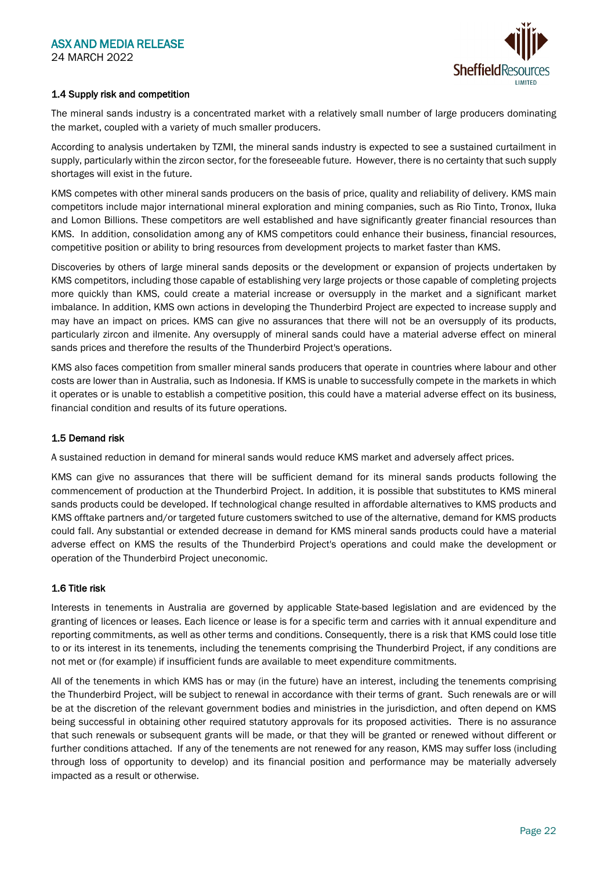

#### 1.4 Supply risk and competition

The mineral sands industry is a concentrated market with a relatively small number of large producers dominating the market, coupled with a variety of much smaller producers.

According to analysis undertaken by TZMI, the mineral sands industry is expected to see a sustained curtailment in supply, particularly within the zircon sector, for the foreseeable future. However, there is no certainty that such supply shortages will exist in the future.

KMS competes with other mineral sands producers on the basis of price, quality and reliability of delivery. KMS main competitors include major international mineral exploration and mining companies, such as Rio Tinto, Tronox, Iluka and Lomon Billions. These competitors are well established and have significantly greater financial resources than KMS. In addition, consolidation among any of KMS competitors could enhance their business, financial resources, competitive position or ability to bring resources from development projects to market faster than KMS.

Discoveries by others of large mineral sands deposits or the development or expansion of projects undertaken by KMS competitors, including those capable of establishing very large projects or those capable of completing projects more quickly than KMS, could create a material increase or oversupply in the market and a significant market imbalance. In addition, KMS own actions in developing the Thunderbird Project are expected to increase supply and may have an impact on prices. KMS can give no assurances that there will not be an oversupply of its products, particularly zircon and ilmenite. Any oversupply of mineral sands could have a material adverse effect on mineral sands prices and therefore the results of the Thunderbird Project's operations.

KMS also faces competition from smaller mineral sands producers that operate in countries where labour and other costs are lower than in Australia, such as Indonesia. If KMS is unable to successfully compete in the markets in which it operates or is unable to establish a competitive position, this could have a material adverse effect on its business, financial condition and results of its future operations.

#### 1.5 Demand risk

A sustained reduction in demand for mineral sands would reduce KMS market and adversely affect prices.

KMS can give no assurances that there will be sufficient demand for its mineral sands products following the commencement of production at the Thunderbird Project. In addition, it is possible that substitutes to KMS mineral sands products could be developed. If technological change resulted in affordable alternatives to KMS products and KMS offtake partners and/or targeted future customers switched to use of the alternative, demand for KMS products could fall. Any substantial or extended decrease in demand for KMS mineral sands products could have a material adverse effect on KMS the results of the Thunderbird Project's operations and could make the development or operation of the Thunderbird Project uneconomic.

#### 1.6 Title risk

Interests in tenements in Australia are governed by applicable State-based legislation and are evidenced by the granting of licences or leases. Each licence or lease is for a specific term and carries with it annual expenditure and reporting commitments, as well as other terms and conditions. Consequently, there is a risk that KMS could lose title to or its interest in its tenements, including the tenements comprising the Thunderbird Project, if any conditions are not met or (for example) if insufficient funds are available to meet expenditure commitments.

All of the tenements in which KMS has or may (in the future) have an interest, including the tenements comprising the Thunderbird Project, will be subject to renewal in accordance with their terms of grant. Such renewals are or will be at the discretion of the relevant government bodies and ministries in the jurisdiction, and often depend on KMS being successful in obtaining other required statutory approvals for its proposed activities. There is no assurance that such renewals or subsequent grants will be made, or that they will be granted or renewed without different or further conditions attached. If any of the tenements are not renewed for any reason, KMS may suffer loss (including through loss of opportunity to develop) and its financial position and performance may be materially adversely impacted as a result or otherwise.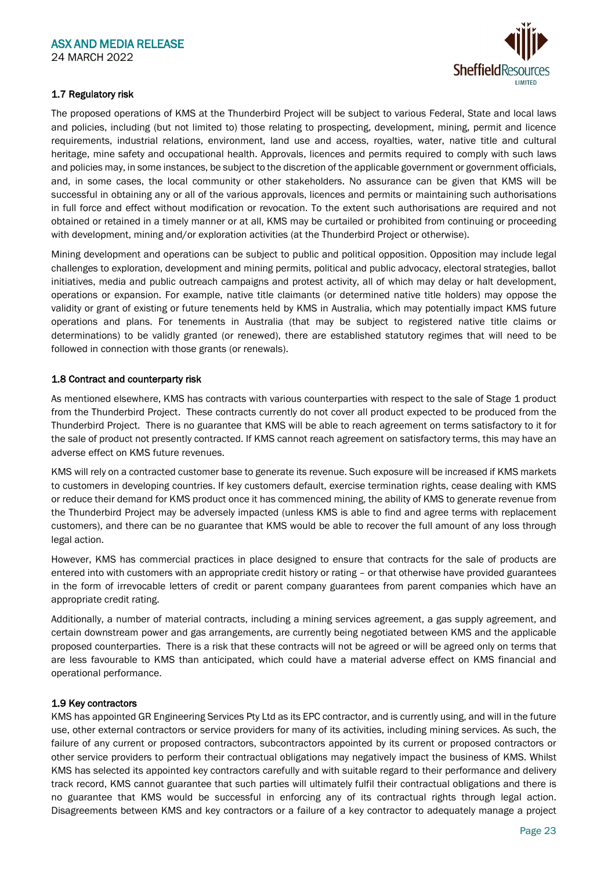

## 1.7 Regulatory risk

The proposed operations of KMS at the Thunderbird Project will be subject to various Federal, State and local laws and policies, including (but not limited to) those relating to prospecting, development, mining, permit and licence requirements, industrial relations, environment, land use and access, royalties, water, native title and cultural heritage, mine safety and occupational health. Approvals, licences and permits required to comply with such laws and policies may, in some instances, be subject to the discretion of the applicable government or government officials, and, in some cases, the local community or other stakeholders. No assurance can be given that KMS will be successful in obtaining any or all of the various approvals, licences and permits or maintaining such authorisations in full force and effect without modification or revocation. To the extent such authorisations are required and not obtained or retained in a timely manner or at all, KMS may be curtailed or prohibited from continuing or proceeding with development, mining and/or exploration activities (at the Thunderbird Project or otherwise).

Mining development and operations can be subject to public and political opposition. Opposition may include legal challenges to exploration, development and mining permits, political and public advocacy, electoral strategies, ballot initiatives, media and public outreach campaigns and protest activity, all of which may delay or halt development, operations or expansion. For example, native title claimants (or determined native title holders) may oppose the validity or grant of existing or future tenements held by KMS in Australia, which may potentially impact KMS future operations and plans. For tenements in Australia (that may be subject to registered native title claims or determinations) to be validly granted (or renewed), there are established statutory regimes that will need to be followed in connection with those grants (or renewals).

#### 1.8 Contract and counterparty risk

As mentioned elsewhere, KMS has contracts with various counterparties with respect to the sale of Stage 1 product from the Thunderbird Project. These contracts currently do not cover all product expected to be produced from the Thunderbird Project. There is no guarantee that KMS will be able to reach agreement on terms satisfactory to it for the sale of product not presently contracted. If KMS cannot reach agreement on satisfactory terms, this may have an adverse effect on KMS future revenues.

KMS will rely on a contracted customer base to generate its revenue. Such exposure will be increased if KMS markets to customers in developing countries. If key customers default, exercise termination rights, cease dealing with KMS or reduce their demand for KMS product once it has commenced mining, the ability of KMS to generate revenue from the Thunderbird Project may be adversely impacted (unless KMS is able to find and agree terms with replacement customers), and there can be no guarantee that KMS would be able to recover the full amount of any loss through legal action.

However, KMS has commercial practices in place designed to ensure that contracts for the sale of products are entered into with customers with an appropriate credit history or rating – or that otherwise have provided guarantees in the form of irrevocable letters of credit or parent company guarantees from parent companies which have an appropriate credit rating.

Additionally, a number of material contracts, including a mining services agreement, a gas supply agreement, and certain downstream power and gas arrangements, are currently being negotiated between KMS and the applicable proposed counterparties. There is a risk that these contracts will not be agreed or will be agreed only on terms that are less favourable to KMS than anticipated, which could have a material adverse effect on KMS financial and operational performance.

#### 1.9 Key contractors

KMS has appointed GR Engineering Services Pty Ltd as its EPC contractor, and is currently using, and will in the future use, other external contractors or service providers for many of its activities, including mining services. As such, the failure of any current or proposed contractors, subcontractors appointed by its current or proposed contractors or other service providers to perform their contractual obligations may negatively impact the business of KMS. Whilst KMS has selected its appointed key contractors carefully and with suitable regard to their performance and delivery track record, KMS cannot guarantee that such parties will ultimately fulfil their contractual obligations and there is no guarantee that KMS would be successful in enforcing any of its contractual rights through legal action. Disagreements between KMS and key contractors or a failure of a key contractor to adequately manage a project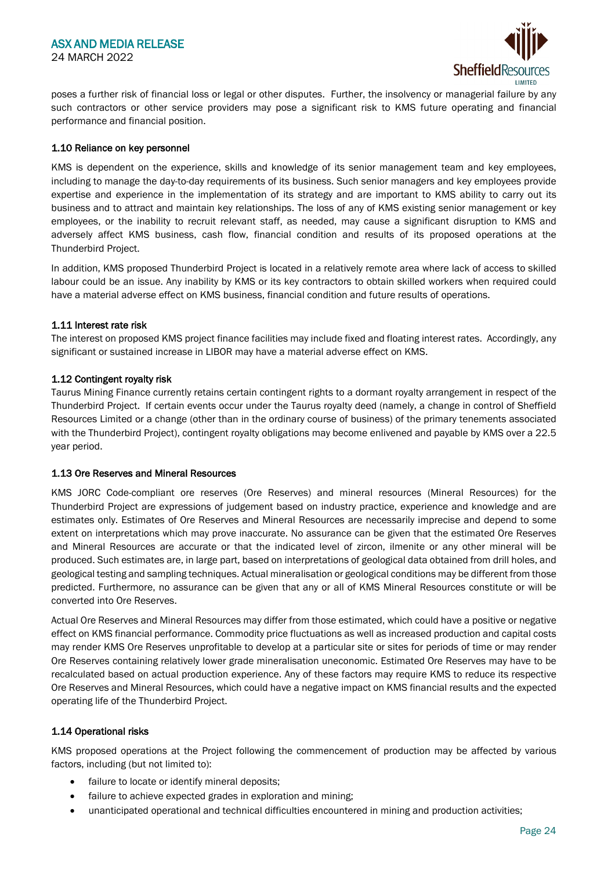

poses a further risk of financial loss or legal or other disputes. Further, the insolvency or managerial failure by any such contractors or other service providers may pose a significant risk to KMS future operating and financial performance and financial position.

#### 1.10 Reliance on key personnel

KMS is dependent on the experience, skills and knowledge of its senior management team and key employees, including to manage the day-to-day requirements of its business. Such senior managers and key employees provide expertise and experience in the implementation of its strategy and are important to KMS ability to carry out its business and to attract and maintain key relationships. The loss of any of KMS existing senior management or key employees, or the inability to recruit relevant staff, as needed, may cause a significant disruption to KMS and adversely affect KMS business, cash flow, financial condition and results of its proposed operations at the Thunderbird Project.

In addition, KMS proposed Thunderbird Project is located in a relatively remote area where lack of access to skilled labour could be an issue. Any inability by KMS or its key contractors to obtain skilled workers when required could have a material adverse effect on KMS business, financial condition and future results of operations.

#### 1.11 Interest rate risk

The interest on proposed KMS project finance facilities may include fixed and floating interest rates. Accordingly, any significant or sustained increase in LIBOR may have a material adverse effect on KMS.

#### 1.12 Contingent royalty risk

Taurus Mining Finance currently retains certain contingent rights to a dormant royalty arrangement in respect of the Thunderbird Project. If certain events occur under the Taurus royalty deed (namely, a change in control of Sheffield Resources Limited or a change (other than in the ordinary course of business) of the primary tenements associated with the Thunderbird Project), contingent royalty obligations may become enlivened and payable by KMS over a 22.5 year period.

#### 1.13 Ore Reserves and Mineral Resources

KMS JORC Code-compliant ore reserves (Ore Reserves) and mineral resources (Mineral Resources) for the Thunderbird Project are expressions of judgement based on industry practice, experience and knowledge and are estimates only. Estimates of Ore Reserves and Mineral Resources are necessarily imprecise and depend to some extent on interpretations which may prove inaccurate. No assurance can be given that the estimated Ore Reserves and Mineral Resources are accurate or that the indicated level of zircon, ilmenite or any other mineral will be produced. Such estimates are, in large part, based on interpretations of geological data obtained from drill holes, and geological testing and sampling techniques. Actual mineralisation or geological conditions may be different from those predicted. Furthermore, no assurance can be given that any or all of KMS Mineral Resources constitute or will be converted into Ore Reserves.

Actual Ore Reserves and Mineral Resources may differ from those estimated, which could have a positive or negative effect on KMS financial performance. Commodity price fluctuations as well as increased production and capital costs may render KMS Ore Reserves unprofitable to develop at a particular site or sites for periods of time or may render Ore Reserves containing relatively lower grade mineralisation uneconomic. Estimated Ore Reserves may have to be recalculated based on actual production experience. Any of these factors may require KMS to reduce its respective Ore Reserves and Mineral Resources, which could have a negative impact on KMS financial results and the expected operating life of the Thunderbird Project.

#### 1.14 Operational risks

KMS proposed operations at the Project following the commencement of production may be affected by various factors, including (but not limited to):

- failure to locate or identify mineral deposits;
- failure to achieve expected grades in exploration and mining;
- unanticipated operational and technical difficulties encountered in mining and production activities;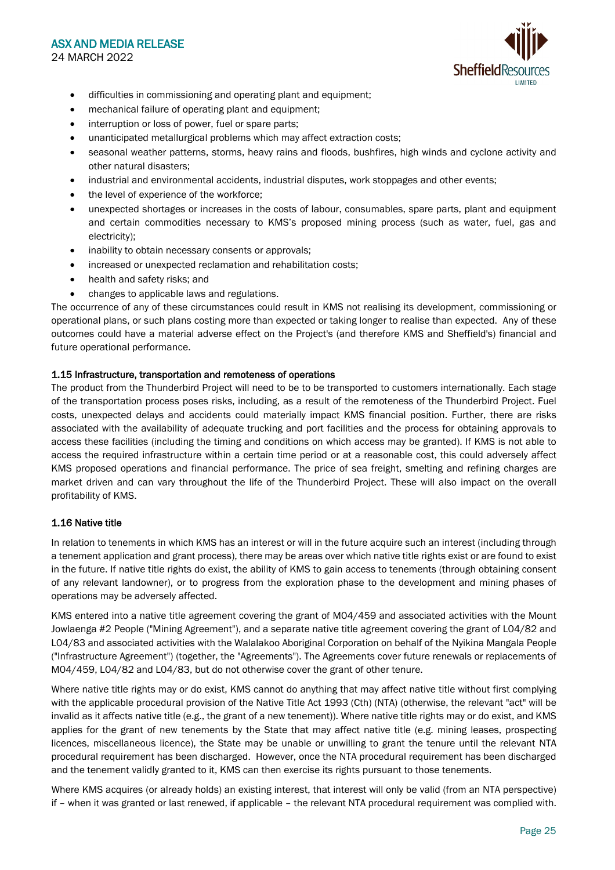## ASX AND MEDIA RELEASE 24 MARCH 2022



- difficulties in commissioning and operating plant and equipment;
- mechanical failure of operating plant and equipment;
- interruption or loss of power, fuel or spare parts;
- unanticipated metallurgical problems which may affect extraction costs;
- seasonal weather patterns, storms, heavy rains and floods, bushfires, high winds and cyclone activity and other natural disasters;
- industrial and environmental accidents, industrial disputes, work stoppages and other events;
- the level of experience of the workforce;
- unexpected shortages or increases in the costs of labour, consumables, spare parts, plant and equipment and certain commodities necessary to KMS's proposed mining process (such as water, fuel, gas and electricity);
- inability to obtain necessary consents or approvals;
- increased or unexpected reclamation and rehabilitation costs;
- health and safety risks; and
- changes to applicable laws and regulations.

The occurrence of any of these circumstances could result in KMS not realising its development, commissioning or operational plans, or such plans costing more than expected or taking longer to realise than expected. Any of these outcomes could have a material adverse effect on the Project's (and therefore KMS and Sheffield's) financial and future operational performance.

#### 1.15 Infrastructure, transportation and remoteness of operations

The product from the Thunderbird Project will need to be to be transported to customers internationally. Each stage of the transportation process poses risks, including, as a result of the remoteness of the Thunderbird Project. Fuel costs, unexpected delays and accidents could materially impact KMS financial position. Further, there are risks associated with the availability of adequate trucking and port facilities and the process for obtaining approvals to access these facilities (including the timing and conditions on which access may be granted). If KMS is not able to access the required infrastructure within a certain time period or at a reasonable cost, this could adversely affect KMS proposed operations and financial performance. The price of sea freight, smelting and refining charges are market driven and can vary throughout the life of the Thunderbird Project. These will also impact on the overall profitability of KMS.

#### 1.16 Native title

In relation to tenements in which KMS has an interest or will in the future acquire such an interest (including through a tenement application and grant process), there may be areas over which native title rights exist or are found to exist in the future. If native title rights do exist, the ability of KMS to gain access to tenements (through obtaining consent of any relevant landowner), or to progress from the exploration phase to the development and mining phases of operations may be adversely affected.

KMS entered into a native title agreement covering the grant of M04/459 and associated activities with the Mount Jowlaenga #2 People ("Mining Agreement"), and a separate native title agreement covering the grant of L04/82 and L04/83 and associated activities with the Walalakoo Aboriginal Corporation on behalf of the Nyikina Mangala People ("Infrastructure Agreement") (together, the "Agreements"). The Agreements cover future renewals or replacements of M04/459, L04/82 and L04/83, but do not otherwise cover the grant of other tenure.

Where native title rights may or do exist, KMS cannot do anything that may affect native title without first complying with the applicable procedural provision of the Native Title Act 1993 (Cth) (NTA) (otherwise, the relevant "act" will be invalid as it affects native title (e.g., the grant of a new tenement)). Where native title rights may or do exist, and KMS applies for the grant of new tenements by the State that may affect native title (e.g. mining leases, prospecting licences, miscellaneous licence), the State may be unable or unwilling to grant the tenure until the relevant NTA procedural requirement has been discharged. However, once the NTA procedural requirement has been discharged and the tenement validly granted to it, KMS can then exercise its rights pursuant to those tenements.

Where KMS acquires (or already holds) an existing interest, that interest will only be valid (from an NTA perspective) if – when it was granted or last renewed, if applicable – the relevant NTA procedural requirement was complied with.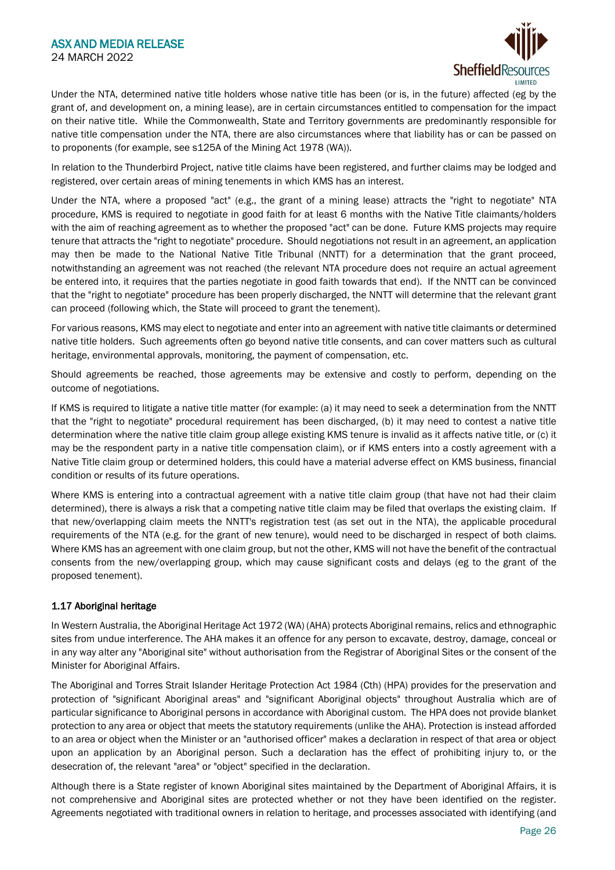

Under the NTA, determined native title holders whose native title has been (or is, in the future) affected (eg by the grant of, and development on, a mining lease), are in certain circumstances entitled to compensation for the impact on their native title. While the Commonwealth, State and Territory governments are predominantly responsible for native title compensation under the NTA, there are also circumstances where that liability has or can be passed on to proponents (for example, see s125A of the Mining Act 1978 (WA)).

In relation to the Thunderbird Project, native title claims have been registered, and further claims may be lodged and registered, over certain areas of mining tenements in which KMS has an interest.

Under the NTA, where a proposed "act" (e.g., the grant of a mining lease) attracts the "right to negotiate" NTA procedure, KMS is required to negotiate in good faith for at least 6 months with the Native Title claimants/holders with the aim of reaching agreement as to whether the proposed "act" can be done. Future KMS projects may require tenure that attracts the "right to negotiate" procedure. Should negotiations not result in an agreement, an application may then be made to the National Native Title Tribunal (NNTT) for a determination that the grant proceed, notwithstanding an agreement was not reached (the relevant NTA procedure does not require an actual agreement be entered into, it requires that the parties negotiate in good faith towards that end). If the NNTT can be convinced that the "right to negotiate" procedure has been properly discharged, the NNTT will determine that the relevant grant can proceed (following which, the State will proceed to grant the tenement).

For various reasons, KMS may elect to negotiate and enter into an agreement with native title claimants or determined native title holders. Such agreements often go beyond native title consents, and can cover matters such as cultural heritage, environmental approvals, monitoring, the payment of compensation, etc.

Should agreements be reached, those agreements may be extensive and costly to perform, depending on the outcome of negotiations.

If KMS is required to litigate a native title matter (for example: (a) it may need to seek a determination from the NNTT that the "right to negotiate" procedural requirement has been discharged, (b) it may need to contest a native title determination where the native title claim group allege existing KMS tenure is invalid as it affects native title, or (c) it may be the respondent party in a native title compensation claim), or if KMS enters into a costly agreement with a Native Title claim group or determined holders, this could have a material adverse effect on KMS business, financial condition or results of its future operations.

Where KMS is entering into a contractual agreement with a native title claim group (that have not had their claim determined), there is always a risk that a competing native title claim may be filed that overlaps the existing claim. If that new/overlapping claim meets the NNTT's registration test (as set out in the NTA), the applicable procedural requirements of the NTA (e.g. for the grant of new tenure), would need to be discharged in respect of both claims. Where KMS has an agreement with one claim group, but not the other, KMS will not have the benefit of the contractual consents from the new/overlapping group, which may cause significant costs and delays (eg to the grant of the proposed tenement).

#### 1.17 Aboriginal heritage

In Western Australia, the Aboriginal Heritage Act 1972 (WA) (AHA) protects Aboriginal remains, relics and ethnographic sites from undue interference. The AHA makes it an offence for any person to excavate, destroy, damage, conceal or in any way alter any "Aboriginal site" without authorisation from the Registrar of Aboriginal Sites or the consent of the Minister for Aboriginal Affairs.

The Aboriginal and Torres Strait Islander Heritage Protection Act 1984 (Cth) (HPA) provides for the preservation and protection of "significant Aboriginal areas" and "significant Aboriginal objects" throughout Australia which are of particular significance to Aboriginal persons in accordance with Aboriginal custom. The HPA does not provide blanket protection to any area or object that meets the statutory requirements (unlike the AHA). Protection is instead afforded to an area or object when the Minister or an "authorised officer" makes a declaration in respect of that area or object upon an application by an Aboriginal person. Such a declaration has the effect of prohibiting injury to, or the desecration of, the relevant "area" or "object" specified in the declaration.

Although there is a State register of known Aboriginal sites maintained by the Department of Aboriginal Affairs, it is not comprehensive and Aboriginal sites are protected whether or not they have been identified on the register. Agreements negotiated with traditional owners in relation to heritage, and processes associated with identifying (and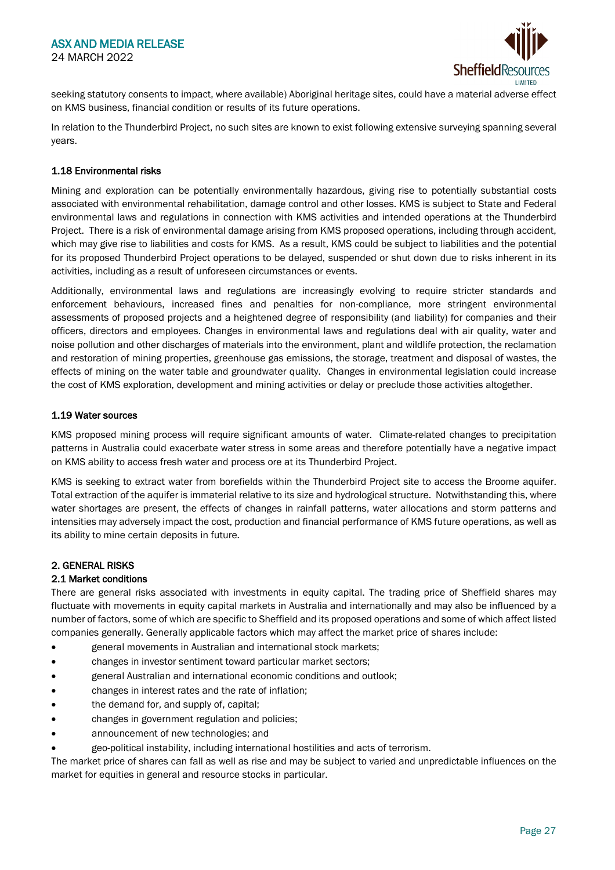

seeking statutory consents to impact, where available) Aboriginal heritage sites, could have a material adverse effect on KMS business, financial condition or results of its future operations.

In relation to the Thunderbird Project, no such sites are known to exist following extensive surveying spanning several years.

#### 1.18 Environmental risks

Mining and exploration can be potentially environmentally hazardous, giving rise to potentially substantial costs associated with environmental rehabilitation, damage control and other losses. KMS is subject to State and Federal environmental laws and regulations in connection with KMS activities and intended operations at the Thunderbird Project. There is a risk of environmental damage arising from KMS proposed operations, including through accident, which may give rise to liabilities and costs for KMS. As a result, KMS could be subject to liabilities and the potential for its proposed Thunderbird Project operations to be delayed, suspended or shut down due to risks inherent in its activities, including as a result of unforeseen circumstances or events.

Additionally, environmental laws and regulations are increasingly evolving to require stricter standards and enforcement behaviours, increased fines and penalties for non-compliance, more stringent environmental assessments of proposed projects and a heightened degree of responsibility (and liability) for companies and their officers, directors and employees. Changes in environmental laws and regulations deal with air quality, water and noise pollution and other discharges of materials into the environment, plant and wildlife protection, the reclamation and restoration of mining properties, greenhouse gas emissions, the storage, treatment and disposal of wastes, the effects of mining on the water table and groundwater quality. Changes in environmental legislation could increase the cost of KMS exploration, development and mining activities or delay or preclude those activities altogether.

#### 1.19 Water sources

KMS proposed mining process will require significant amounts of water. Climate-related changes to precipitation patterns in Australia could exacerbate water stress in some areas and therefore potentially have a negative impact on KMS ability to access fresh water and process ore at its Thunderbird Project.

KMS is seeking to extract water from borefields within the Thunderbird Project site to access the Broome aquifer. Total extraction of the aquifer is immaterial relative to its size and hydrological structure. Notwithstanding this, where water shortages are present, the effects of changes in rainfall patterns, water allocations and storm patterns and intensities may adversely impact the cost, production and financial performance of KMS future operations, as well as its ability to mine certain deposits in future.

#### 2. GENERAL RISKS

#### 2.1 Market conditions

There are general risks associated with investments in equity capital. The trading price of Sheffield shares may fluctuate with movements in equity capital markets in Australia and internationally and may also be influenced by a number of factors, some of which are specific to Sheffield and its proposed operations and some of which affect listed companies generally. Generally applicable factors which may affect the market price of shares include:

- general movements in Australian and international stock markets;
- changes in investor sentiment toward particular market sectors;
- general Australian and international economic conditions and outlook;
- changes in interest rates and the rate of inflation;
- the demand for, and supply of, capital;
- changes in government regulation and policies;
- announcement of new technologies; and
- geo-political instability, including international hostilities and acts of terrorism.

The market price of shares can fall as well as rise and may be subject to varied and unpredictable influences on the market for equities in general and resource stocks in particular.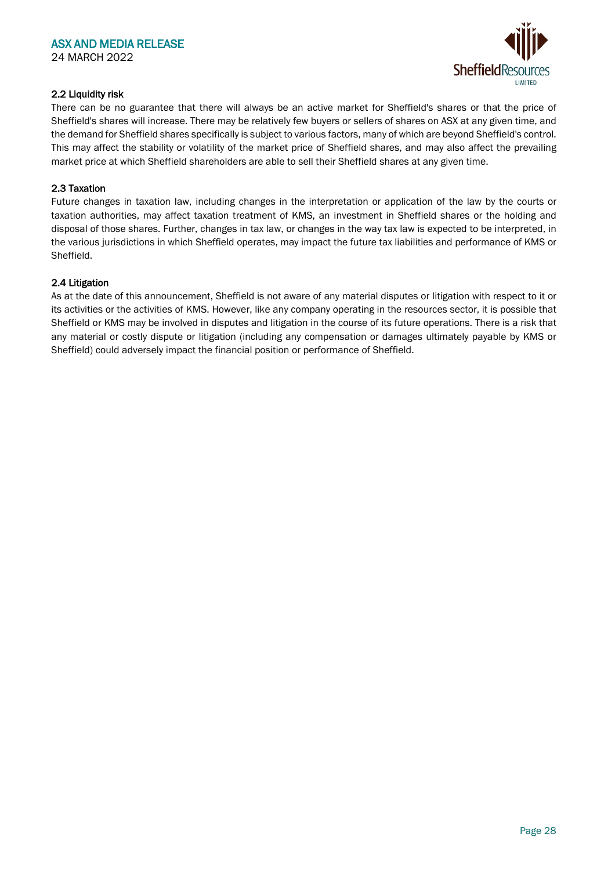

## 2.2 Liquidity risk

There can be no guarantee that there will always be an active market for Sheffield's shares or that the price of Sheffield's shares will increase. There may be relatively few buyers or sellers of shares on ASX at any given time, and the demand for Sheffield shares specifically is subject to various factors, many of which are beyond Sheffield's control. This may affect the stability or volatility of the market price of Sheffield shares, and may also affect the prevailing market price at which Sheffield shareholders are able to sell their Sheffield shares at any given time.

#### 2.3 Taxation

Future changes in taxation law, including changes in the interpretation or application of the law by the courts or taxation authorities, may affect taxation treatment of KMS, an investment in Sheffield shares or the holding and disposal of those shares. Further, changes in tax law, or changes in the way tax law is expected to be interpreted, in the various jurisdictions in which Sheffield operates, may impact the future tax liabilities and performance of KMS or Sheffield.

#### 2.4 Litigation

As at the date of this announcement, Sheffield is not aware of any material disputes or litigation with respect to it or its activities or the activities of KMS. However, like any company operating in the resources sector, it is possible that Sheffield or KMS may be involved in disputes and litigation in the course of its future operations. There is a risk that any material or costly dispute or litigation (including any compensation or damages ultimately payable by KMS or Sheffield) could adversely impact the financial position or performance of Sheffield.